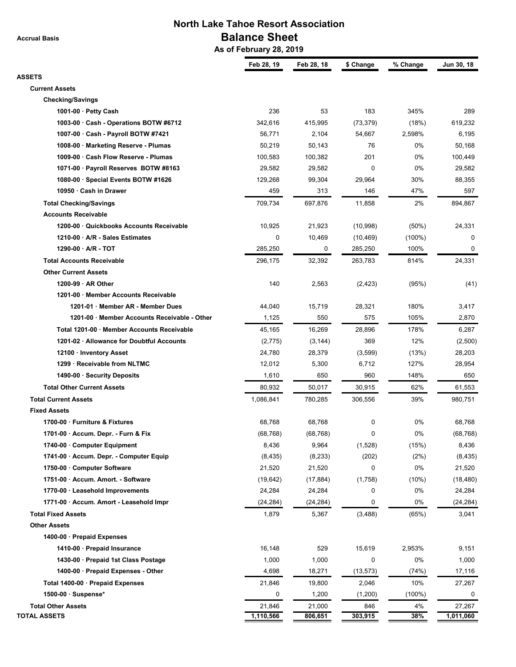**Accrual Basis**

## **North Lake Tahoe Resort Association Balance Sheet**

 **As of February 28, 2019**

|                                              | Feb 28, 19 | Feb 28, 18 | \$ Change | % Change  | Jun 30, 18 |
|----------------------------------------------|------------|------------|-----------|-----------|------------|
| <b>ASSETS</b>                                |            |            |           |           |            |
| <b>Current Assets</b>                        |            |            |           |           |            |
| <b>Checking/Savings</b>                      |            |            |           |           |            |
| 1001-00 $\cdot$ Petty Cash                   | 236        | 53         | 183       | 345%      | 289        |
| 1003-00 · Cash - Operations BOTW #6712       | 342,616    | 415,995    | (73, 379) | (18%)     | 619,232    |
| 1007-00 · Cash - Payroll BOTW #7421          | 56,771     | 2,104      | 54,667    | 2,598%    | 6,195      |
| 1008-00 · Marketing Reserve - Plumas         | 50,219     | 50,143     | 76        | 0%        | 50,168     |
| 1009-00 · Cash Flow Reserve - Plumas         | 100,583    | 100,382    | 201       | 0%        | 100,449    |
| 1071-00 · Payroll Reserves BOTW #8163        | 29,582     | 29,582     | 0         | 0%        | 29,582     |
| 1080-00 · Special Events BOTW #1626          | 129,268    | 99,304     | 29,964    | 30%       | 88,355     |
| 10950 · Cash in Drawer                       | 459        | 313        | 146       | 47%       | 597        |
| <b>Total Checking/Savings</b>                | 709,734    | 697,876    | 11,858    | 2%        | 894,867    |
| <b>Accounts Receivable</b>                   |            |            |           |           |            |
| 1200-00 Quickbooks Accounts Receivable       | 10,925     | 21,923     | (10, 998) | $(50\%)$  | 24,331     |
| 1210-00 · A/R - Sales Estimates              | 0          | 10,469     | (10, 469) | $(100\%)$ | 0          |
| $1290-00 \cdot A/R - TOT$                    | 285,250    | 0          | 285,250   | 100%      | 0          |
| <b>Total Accounts Receivable</b>             | 296,175    | 32,392     | 263,783   | 814%      | 24,331     |
| <b>Other Current Assets</b>                  |            |            |           |           |            |
| 1200-99 $\cdot$ AR Other                     | 140        | 2,563      |           | (95%)     |            |
| 1201-00 · Member Accounts Receivable         |            |            | (2, 423)  |           | (41)       |
|                                              |            |            |           |           |            |
| 1201-01 · Member AR - Member Dues            | 44,040     | 15,719     | 28,321    | 180%      | 3,417      |
| 1201-00 · Member Accounts Receivable - Other | 1,125      | 550        | 575       | 105%      | 2,870      |
| Total 1201-00 · Member Accounts Receivable   | 45,165     | 16,269     | 28,896    | 178%      | 6,287      |
| 1201-02 · Allowance for Doubtful Accounts    | (2,775)    | (3, 144)   | 369       | 12%       | (2,500)    |
| 12100 · Inventory Asset                      | 24,780     | 28,379     | (3,599)   | (13%)     | 28,203     |
| 1299 · Receivable from NLTMC                 | 12,012     | 5,300      | 6,712     | 127%      | 28,954     |
| 1490-00 · Security Deposits                  | 1,610      | 650        | 960       | 148%      | 650        |
| <b>Total Other Current Assets</b>            | 80,932     | 50,017     | 30,915    | 62%       | 61,553     |
| <b>Total Current Assets</b>                  | 1,086,841  | 780,285    | 306,556   | 39%       | 980,751    |
| <b>Fixed Assets</b>                          |            |            |           |           |            |
| 1700-00 · Furniture & Fixtures               | 68,768     | 68,768     | 0         | 0%        | 68,768     |
| 1701-00 · Accum. Depr. - Furn & Fix          | (68, 768)  | (68, 768)  | 0         | 0%        | (68, 768)  |
| 1740-00 Computer Equipment                   | 8,436      | 9,964      | (1,528)   | (15%)     | 8,436      |
| 1741-00 · Accum. Depr. - Computer Equip      | (8, 435)   | (8, 233)   | (202)     | (2%)      | (8, 435)   |
| 1750-00 · Computer Software                  | 21,520     | 21,520     | 0         | 0%        | 21,520     |
| 1751-00 · Accum. Amort. - Software           | (19, 642)  | (17, 884)  | (1,758)   | (10%)     | (18, 480)  |
| 1770-00 · Leasehold Improvements             | 24,284     | 24,284     | 0         | 0%        | 24,284     |
| 1771-00 · Accum. Amort - Leasehold Impr      | (24, 284)  | (24, 284)  | 0         | 0%        | (24, 284)  |
| <b>Total Fixed Assets</b>                    | 1,879      | 5,367      | (3, 488)  | (65%)     | 3,041      |
| <b>Other Assets</b>                          |            |            |           |           |            |
| 1400-00 · Prepaid Expenses                   |            |            |           |           |            |
| 1410-00 · Prepaid Insurance                  | 16,148     | 529        | 15,619    | 2,953%    | 9,151      |
| 1430-00 · Prepaid 1st Class Postage          | 1,000      | 1,000      | 0         | 0%        | 1,000      |
| 1400-00 · Prepaid Expenses - Other           | 4,698      | 18,271     | (13,573)  | (74%)     | 17,116     |
| Total 1400-00 · Prepaid Expenses             | 21,846     | 19,800     | 2,046     | 10%       | 27,267     |
| 1500-00 · Suspense*                          | 0          | 1,200      | (1,200)   | $(100\%)$ | 0          |
| <b>Total Other Assets</b>                    | 21,846     | 21,000     | 846       | 4%        | 27,267     |
| <b>TOTAL ASSETS</b>                          | 1,110,566  | 806,651    | 303,915   | 38%       | 1,011,060  |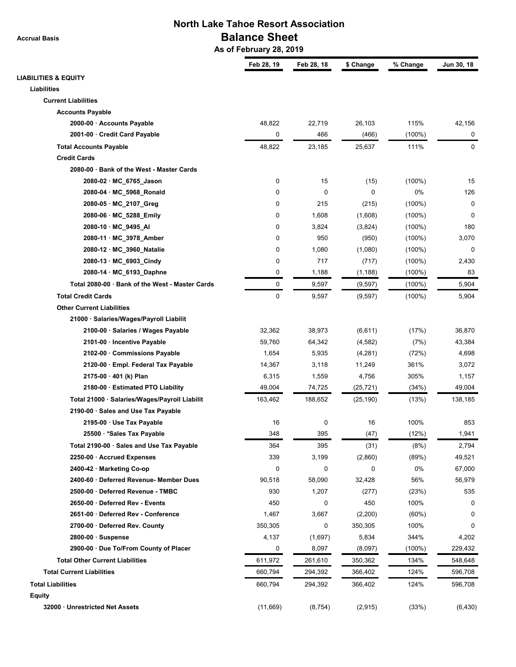**Accrual Basis**

## **North Lake Tahoe Resort Association Balance Sheet**

 **As of February 28, 2019**

|                                                 | Feb 28, 19 | Feb 28, 18 | \$ Change | % Change  | Jun 30, 18 |
|-------------------------------------------------|------------|------------|-----------|-----------|------------|
| <b>LIABILITIES &amp; EQUITY</b>                 |            |            |           |           |            |
| Liabilities                                     |            |            |           |           |            |
| <b>Current Liabilities</b>                      |            |            |           |           |            |
| <b>Accounts Payable</b>                         |            |            |           |           |            |
| 2000-00 · Accounts Payable                      | 48,822     | 22,719     | 26,103    | 115%      | 42,156     |
| 2001-00 · Credit Card Payable                   | 0          | 466        | (466)     | $(100\%)$ | 0          |
| <b>Total Accounts Payable</b>                   | 48,822     | 23,185     | 25,637    | 111%      | 0          |
| <b>Credit Cards</b>                             |            |            |           |           |            |
| 2080-00 · Bank of the West - Master Cards       |            |            |           |           |            |
| 2080-02 · MC_6765_Jason                         | 0          | 15         | (15)      | $(100\%)$ | 15         |
| 2080-04 · MC_5968_Ronald                        | 0          | 0          | 0         | 0%        | 126        |
| 2080-05 · MC_2107_Greg                          | 0          | 215        | (215)     | $(100\%)$ | 0          |
| 2080-06 · MC_5288_Emily                         | 0          | 1,608      | (1,608)   | $(100\%)$ | 0          |
| 2080-10 · MC_9495_AI                            | 0          | 3,824      | (3,824)   | $(100\%)$ | 180        |
| 2080-11 · MC_3978_Amber                         | 0          | 950        | (950)     | $(100\%)$ | 3,070      |
| 2080-12 · MC_3960_Natalie                       | 0          | 1,080      | (1,080)   | $(100\%)$ | 0          |
| 2080-13 · MC_6903_Cindy                         | 0          | 717        | (717)     | $(100\%)$ | 2,430      |
| 2080-14 · MC_6193_Daphne                        | 0          | 1,188      | (1, 188)  | $(100\%)$ | 83         |
| Total 2080-00 · Bank of the West - Master Cards | 0          | 9,597      | (9, 597)  | $(100\%)$ | 5,904      |
| <b>Total Credit Cards</b>                       | 0          | 9,597      | (9, 597)  | $(100\%)$ | 5,904      |
| <b>Other Current Liabilities</b>                |            |            |           |           |            |
| 21000 · Salaries/Wages/Payroll Liabilit         |            |            |           |           |            |
| 2100-00 · Salaries / Wages Payable              | 32,362     | 38,973     | (6,611)   | (17%)     | 36,870     |
| 2101-00 · Incentive Payable                     | 59,760     | 64,342     | (4, 582)  | (7%)      | 43,384     |
| 2102-00 · Commissions Payable                   | 1,654      | 5,935      | (4,281)   | (72%)     | 4,698      |
| 2120-00 · Empl. Federal Tax Payable             | 14,367     | 3,118      | 11,249    | 361%      | 3,072      |
| 2175-00 · 401 (k) Plan                          | 6,315      | 1,559      | 4,756     | 305%      | 1,157      |
| 2180-00 · Estimated PTO Liability               | 49,004     | 74,725     | (25, 721) | (34%)     | 49,004     |
| Total 21000 · Salaries/Wages/Payroll Liabilit   | 163,462    | 188,652    | (25, 190) | (13%)     | 138,185    |
| 2190-00 · Sales and Use Tax Payable             |            |            |           |           |            |
| 2195-00 · Use Tax Payable                       | 16         | 0          | 16        | 100%      | 853        |
| 25500 · * Sales Tax Payable                     | 348        | 395        | (47)      | (12%)     | 1,941      |
| Total 2190-00 · Sales and Use Tax Payable       | 364        | 395        | (31)      | (8%)      | 2,794      |
| 2250-00 · Accrued Expenses                      | 339        | 3,199      | (2,860)   | (89%)     | 49,521     |
| 2400-42 · Marketing Co-op                       | 0          | 0          | 0         | 0%        | 67,000     |
| 2400-60 · Deferred Revenue- Member Dues         | 90,518     | 58,090     | 32,428    | 56%       | 56,979     |
| 2500-00 · Deferred Revenue - TMBC               | 930        | 1,207      | (277)     | (23%)     | 535        |
| 2650-00 · Deferred Rev - Events                 | 450        | 0          | 450       | 100%      | 0          |
| 2651-00 · Deferred Rev - Conference             | 1,467      | 3,667      | (2,200)   | $(60\%)$  | 0          |
| 2700-00 · Deferred Rev. County                  | 350,305    | 0          | 350,305   | 100%      | 0          |
| 2800-00 · Suspense                              | 4,137      | (1,697)    | 5,834     | 344%      | 4,202      |
| 2900-00 · Due To/From County of Placer          | 0          | 8,097      | (8,097)   | $(100\%)$ | 229,432    |
| <b>Total Other Current Liabilities</b>          | 611,972    | 261,610    | 350,362   | 134%      | 548,648    |
| <b>Total Current Liabilities</b>                | 660,794    | 294,392    | 366,402   | 124%      | 596,708    |
| <b>Total Liabilities</b>                        | 660,794    | 294,392    | 366,402   | 124%      | 596,708    |
| <b>Equity</b>                                   |            |            |           |           |            |
| 32000 · Unrestricted Net Assets                 |            |            |           |           |            |
|                                                 | (11,669)   | (8, 754)   | (2, 915)  | (33%)     | (6, 430)   |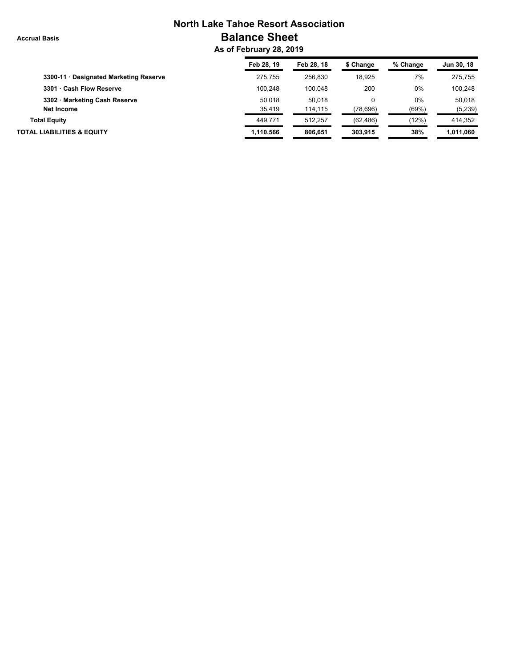**Accrual Basis**

# **North Lake Tahoe Resort Association Balance Sheet**

 **As of February 28, 2019**

|                                        | Feb 28, 19 | Feb 28, 18 | \$ Change | % Change | Jun 30, 18 |
|----------------------------------------|------------|------------|-----------|----------|------------|
| 3300-11 · Designated Marketing Reserve | 275.755    | 256.830    | 18.925    | 7%       | 275.755    |
| 3301 · Cash Flow Reserve               | 100.248    | 100.048    | 200       | 0%       | 100.248    |
| 3302 · Marketing Cash Reserve          | 50.018     | 50.018     |           | 0%       | 50.018     |
| Net Income                             | 35,419     | 114,115    | (78, 696) | (69%)    | (5,239)    |
| <b>Total Equity</b>                    | 449.771    | 512.257    | (62, 486) | (12%)    | 414.352    |
| <b>TOTAL LIABILITIES &amp; EQUITY</b>  | 1,110,566  | 806.651    | 303.915   | 38%      | 1,011,060  |
|                                        |            |            |           |          |            |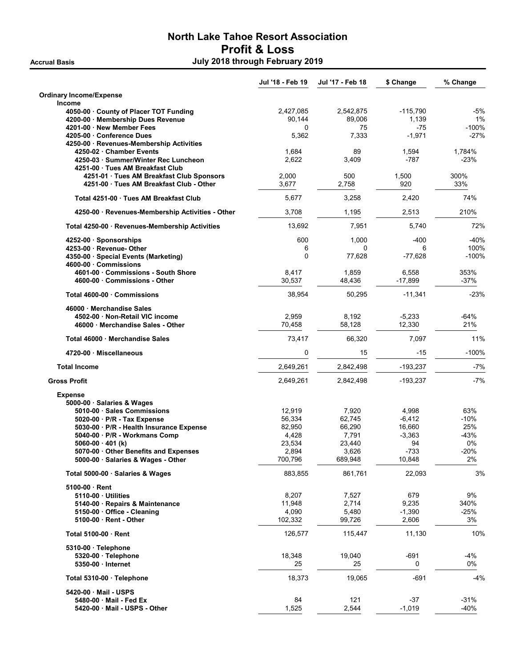## North Lake Tahoe Resort Association Profit & Loss Accrual Basis **Accrual Basis July 2018 through February 2019**

|                                                                          | Jul '18 - Feb 19 | Jul '17 - Feb 18 | \$ Change          | % Change         |
|--------------------------------------------------------------------------|------------------|------------------|--------------------|------------------|
| <b>Ordinary Income/Expense</b>                                           |                  |                  |                    |                  |
| <b>Income</b>                                                            |                  |                  |                    |                  |
| 4050-00 County of Placer TOT Funding                                     | 2,427,085        | 2,542,875        | $-115,790$         | -5%              |
| 4200-00 · Membership Dues Revenue                                        | 90,144           | 89,006           | 1,139              | 1%               |
| 4201-00 New Member Fees                                                  | $\Omega$         | 75               | $-75$              | $-100%$          |
| 4205-00 Conference Dues                                                  | 5,362            | 7,333            | $-1,971$           | $-27%$           |
| 4250-00 · Revenues-Membership Activities                                 |                  |                  |                    |                  |
| 4250-02 · Chamber Events                                                 | 1,684<br>2,622   | 89<br>3,409      | 1,594<br>$-787$    | 1,784%<br>$-23%$ |
| 4250-03 · Summer/Winter Rec Luncheon<br>4251-00 · Tues AM Breakfast Club |                  |                  |                    |                  |
| 4251-01 · Tues AM Breakfast Club Sponsors                                | 2,000            | 500              | 1,500              | 300%             |
| 4251-00 Tues AM Breakfast Club - Other                                   | 3.677            | 2.758            | 920                | 33%              |
| Total 4251-00 Tues AM Breakfast Club                                     | 5,677            | 3,258            | 2,420              | 74%              |
| 4250-00 · Revenues-Membership Activities - Other                         | 3,708            | 1,195            | 2,513              | 210%             |
| Total 4250-00 · Revenues-Membership Activities                           | 13,692           | 7,951            | 5,740              | 72%              |
|                                                                          |                  |                  |                    |                  |
| 4252-00 · Sponsorships                                                   | 600              | 1,000            | $-400$             | -40%             |
| 4253-00 Revenue- Other                                                   | 6                | 0                | 6                  | 100%             |
| 4350-00 · Special Events (Marketing)                                     | $\mathbf 0$      | 77,628           | $-77,628$          | $-100%$          |
| 4600-00 Commissions                                                      | 8,417            | 1,859            |                    | 353%             |
| 4601-00 Commissions - South Shore<br>4600-00 Commissions - Other         | 30,537           | 48,436           | 6,558<br>$-17,899$ | $-37%$           |
|                                                                          |                  |                  |                    |                  |
| Total 4600-00 · Commissions                                              | 38,954           | 50,295           | $-11,341$          | $-23%$           |
| 46000 Merchandise Sales                                                  |                  |                  |                    |                  |
| 4502-00 Non-Retail VIC income                                            | 2,959            | 8,192            | $-5,233$           | -64%             |
| 46000 · Merchandise Sales - Other                                        | 70,458           | 58,128           | 12,330             | 21%              |
| Total 46000 Merchandise Sales                                            | 73,417           | 66,320           | 7,097              | 11%              |
| 4720-00 Miscellaneous                                                    | 0                | 15               | $-15$              | $-100%$          |
| <b>Total Income</b>                                                      | 2,649,261        | 2,842,498        | $-193,237$         | $-7%$            |
| <b>Gross Profit</b>                                                      | 2,649,261        | 2,842,498        | $-193,237$         | $-7%$            |
| <b>Expense</b>                                                           |                  |                  |                    |                  |
| 5000-00 · Salaries & Wages                                               |                  |                  |                    |                  |
| 5010-00 · Sales Commissions                                              | 12,919           | 7,920            | 4,998              | 63%              |
| 5020-00 · P/R - Tax Expense                                              | 56,334           | 62,745           | $-6,412$           | -10%             |
| 5030-00 · P/R - Health Insurance Expense                                 | 82,950           | 66,290           | 16,660             | 25%              |
| 5040-00 · P/R - Workmans Comp                                            | 4,428            | 7,791            | $-3,363$           | -43%             |
| 5060-00 $\cdot$ 401 (k)                                                  | 23,534           | 23,440           | 94                 | 0%               |
| 5070-00 · Other Benefits and Expenses                                    | 2,894            | 3,626            | $-733$             | $-20%$           |
| 5000-00 · Salaries & Wages - Other                                       | 700,796          | 689,948          | 10,848             | 2%               |
| Total 5000-00 · Salaries & Wages                                         | 883,855          | 861,761          | 22,093             | 3%               |
| 5100-00 Rent                                                             |                  |                  |                    |                  |
| 5110-00 Utilities                                                        | 8,207            | 7,527            | 679                | 9%               |
| 5140-00 Repairs & Maintenance                                            | 11,948           | 2,714            | 9,235              | 340%             |
| 5150-00 Office - Cleaning                                                | 4,090            | 5,480            | $-1,390$           | $-25%$           |
| 5100-00 Rent - Other                                                     | 102,332          | 99,726           | 2,606              | 3%               |
| Total 5100-00 · Rent                                                     | 126,577          | 115,447          | 11,130             | 10%              |
|                                                                          |                  |                  |                    |                  |
| 5310-00 · Telephone                                                      |                  |                  |                    |                  |
| 5320-00 · Telephone                                                      | 18,348           | 19,040           | $-691$             | -4%              |
| 5350-00 · Internet                                                       | 25               | 25               | 0                  | 0%               |
| Total 5310-00 · Telephone                                                | 18,373           | 19,065           | $-691$             | -4%              |
| 5420-00 Mail - USPS                                                      |                  |                  |                    |                  |
| 5480-00 Mail - Fed Ex                                                    | 84               | 121              | $-37$              | $-31%$           |
| 5420-00 Mail - USPS - Other                                              | 1,525            | 2,544            | $-1,019$           | $-40%$           |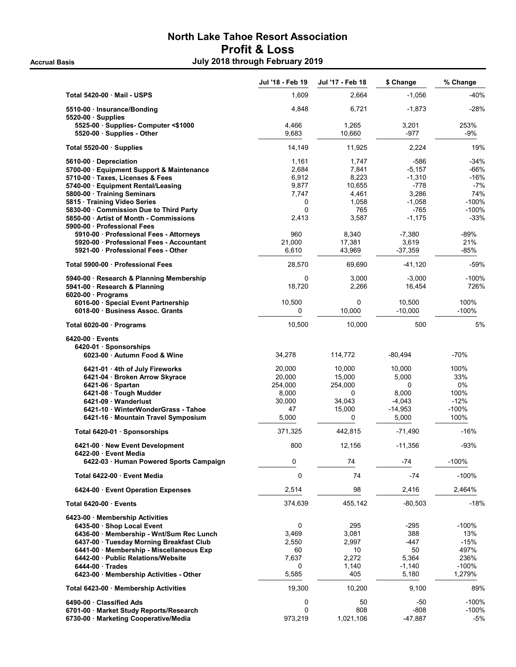## North Lake Tahoe Resort Association Profit & Loss Accrual Basis **Accrual Basis July 2018 through February 2019**

|                                                                                                   | Jul '18 - Feb 19 | Jul '17 - Feb 18 | \$ Change           | % Change         |
|---------------------------------------------------------------------------------------------------|------------------|------------------|---------------------|------------------|
| Total 5420-00 Mail - USPS                                                                         | 1,609            | 2,664            | $-1,056$            | $-40%$           |
| 5510-00 · Insurance/Bonding<br>$5520-00 \cdot$ Supplies                                           | 4,848            | 6,721            | $-1,873$            | $-28%$           |
| 5525-00 · Supplies- Computer <\$1000<br>5520-00 · Supplies - Other                                | 4,466<br>9,683   | 1,265<br>10.660  | 3,201<br>-977       | 253%<br>-9%      |
| Total 5520-00 · Supplies                                                                          | 14,149           | 11,925           | 2,224               | 19%              |
| 5610-00 Depreciation                                                                              | 1,161            | 1,747            | $-586$              | $-34%$           |
| 5700-00 · Equipment Support & Maintenance                                                         | 2,684            | 7,841            | $-5,157$            | -66%             |
| 5710-00 · Taxes, Licenses & Fees                                                                  | 6,912            | 8,223            | $-1,310$            | $-16%$           |
| 5740-00 · Equipment Rental/Leasing                                                                | 9,877            | 10,655           | $-778$              | $-7%$            |
| 5800-00 · Training Seminars                                                                       | 7,747            | 4,461            | 3,286               | 74%              |
| 5815 · Training Video Series<br>5830-00 Commission Due to Third Party                             | 0<br>0           | 1,058<br>765     | $-1,058$<br>$-765$  | -100%<br>-100%   |
| 5850-00 Artist of Month - Commissions                                                             | 2,413            | 3,587            | $-1,175$            | $-33%$           |
| 5900-00 Professional Fees                                                                         |                  |                  |                     |                  |
| 5910-00 · Professional Fees - Attorneys                                                           | 960              | 8,340            | $-7,380$            | $-89%$           |
| 5920-00 Professional Fees - Accountant                                                            | 21,000           | 17,381           | 3,619               | 21%              |
| 5921-00 Professional Fees - Other                                                                 | 6,610            | 43,969           | $-37,359$           | -85%             |
| Total 5900-00 · Professional Fees                                                                 | 28,570           | 69,690           | $-41,120$           | $-59%$           |
| 5940-00 · Research & Planning Membership<br>5941-00 · Research & Planning<br>$6020-00$ · Programs | 0<br>18,720      | 3,000<br>2,266   | $-3,000$<br>16,454  | -100%<br>726%    |
| 6016-00 · Special Event Partnership<br>6018-00 Business Assoc. Grants                             | 10,500<br>0      | 0<br>10.000      | 10,500<br>$-10,000$ | 100%<br>$-100\%$ |
| Total 6020-00 · Programs                                                                          | 10,500           | 10,000           | 500                 | 5%               |
| 6420-00 Events                                                                                    |                  |                  |                     |                  |
| 6420-01 Sponsorships                                                                              |                  |                  |                     |                  |
| 6023-00 Autumn Food & Wine                                                                        | 34,278           | 114,772          | $-80,494$           | -70%             |
| 6421-01 · 4th of July Fireworks                                                                   | 20,000           | 10,000           | 10,000              | 100%             |
| 6421-04 · Broken Arrow Skyrace                                                                    | 20,000           | 15,000           | 5,000               | 33%              |
| $6421-06$ · Spartan                                                                               | 254,000          | 254,000          | 0                   | 0%               |
| 6421-08 · Tough Mudder                                                                            | 8,000            | $\Omega$         | 8,000               | 100%             |
| 6421-09 Wanderlust                                                                                | 30,000           | 34,043           | $-4,043$            | $-12%$           |
| 6421-10 · WinterWonderGrass - Tahoe                                                               | 47               | 15,000           | $-14,953$           | $-100%$          |
| 6421-16 · Mountain Travel Symposium                                                               | 5,000            | 0                | 5,000               | 100%             |
| Total 6420-01 · Sponsorships                                                                      | 371,325          | 442,815          | $-71,490$           | $-16%$           |
| 6421-00 New Event Development<br>6422-00 · Event Media                                            | 800              | 12,156           | $-11,356$           | $-93%$           |
| 6422-03 · Human Powered Sports Campaign                                                           | 0                | 74               | $-74$               | $-100%$          |
| Total 6422-00 · Event Media                                                                       | 0                | 74               | $-74$               | $-100%$          |
| 6424-00 Event Operation Expenses                                                                  | 2,514            | 98               | 2,416               | 2,464%           |
| Total 6420-00 · Events                                                                            | 374,639          | 455,142          | $-80,503$           | $-18%$           |
| 6423-00 · Membership Activities                                                                   |                  |                  |                     |                  |
| 6435-00 · Shop Local Event                                                                        | 0                | 295              | -295                | -100%            |
| 6436-00 Membership - Wnt/Sum Rec Lunch                                                            | 3,469            | 3,081            | 388                 | 13%              |
| 6437-00 · Tuesday Morning Breakfast Club                                                          | 2,550            | 2,997            | -447                | $-15%$           |
| 6441-00 · Membership - Miscellaneous Exp<br>6442-00 Public Relations/Website                      | 60<br>7,637      | 10<br>2,272      | 50<br>5,364         | 497%<br>236%     |
| 6444-00 Trades                                                                                    | 0                | 1,140            | $-1,140$            | $-100%$          |
| 6423-00 · Membership Activities - Other                                                           | 5,585            | 405              | 5,180               | 1,279%           |
| Total 6423-00 · Membership Activities                                                             | 19,300           | 10,200           | 9,100               | 89%              |
| 6490-00 Classified Ads                                                                            | 0                | 50               | -50                 | -100%            |
| 6701-00 · Market Study Reports/Research                                                           | 0                | 808              | -808                | $-100%$          |
| 6730-00 · Marketing Cooperative/Media                                                             | 973,219          | 1,021,106        | $-47,887$           | -5%              |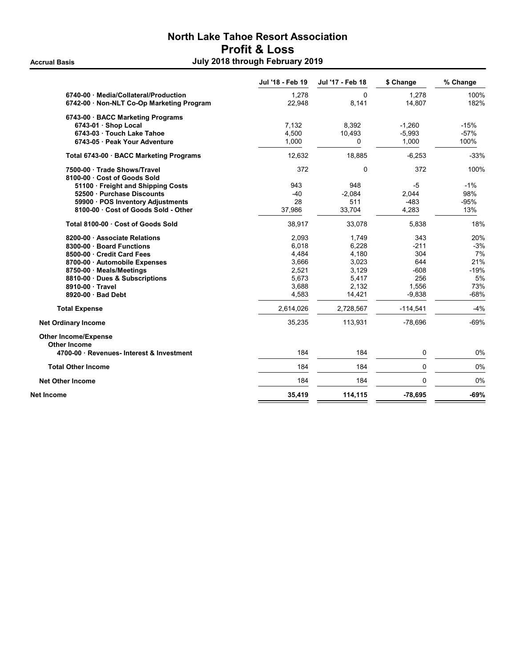## North Lake Tahoe Resort Association Profit & Loss Accrual Basis **Accrual Basis July 2018 through February 2019**

| 6740-00 Media/Collateral/Production<br>6742-00 · Non-NLT Co-Op Marketing Program<br>6743-00 · BACC Marketing Programs<br>6743-01 · Shop Local<br>6743-03 · Touch Lake Tahoe<br>6743-05 Peak Your Adventure<br>Total 6743-00 · BACC Marketing Programs | 1,278<br>22,948<br>7,132<br>4,500<br>1,000 | 0<br>8,141<br>8,392 | 1,278<br>14,807 | 100%<br>182% |
|-------------------------------------------------------------------------------------------------------------------------------------------------------------------------------------------------------------------------------------------------------|--------------------------------------------|---------------------|-----------------|--------------|
|                                                                                                                                                                                                                                                       |                                            |                     |                 |              |
|                                                                                                                                                                                                                                                       |                                            |                     |                 |              |
|                                                                                                                                                                                                                                                       |                                            |                     |                 |              |
|                                                                                                                                                                                                                                                       |                                            |                     | $-1,260$        | $-15%$       |
|                                                                                                                                                                                                                                                       |                                            | 10,493              | $-5,993$        | $-57%$       |
|                                                                                                                                                                                                                                                       |                                            | 0                   | 1,000           | 100%         |
|                                                                                                                                                                                                                                                       | 12,632                                     | 18,885              | $-6,253$        | $-33%$       |
| 7500-00 · Trade Shows/Travel                                                                                                                                                                                                                          | 372                                        | 0                   | 372             | 100%         |
| 8100-00 Cost of Goods Sold                                                                                                                                                                                                                            |                                            |                     |                 |              |
| 51100 Freight and Shipping Costs                                                                                                                                                                                                                      | 943                                        | 948                 | -5              | $-1%$        |
| 52500 Purchase Discounts                                                                                                                                                                                                                              | $-40$                                      | $-2,084$            | 2,044           | 98%          |
| 59900 · POS Inventory Adjustments                                                                                                                                                                                                                     | 28                                         | 511                 | -483            | $-95%$       |
| 8100-00 Cost of Goods Sold - Other                                                                                                                                                                                                                    | 37,986                                     | 33,704              | 4,283           | 13%          |
| Total 8100-00 Cost of Goods Sold                                                                                                                                                                                                                      | 38,917                                     | 33,078              | 5,838           | 18%          |
| 8200-00 Associate Relations                                                                                                                                                                                                                           | 2,093                                      | 1,749               | 343             | 20%          |
| 8300-00 · Board Functions                                                                                                                                                                                                                             | 6.018                                      | 6,228               | $-211$          | $-3%$        |
| 8500-00 Credit Card Fees                                                                                                                                                                                                                              | 4,484                                      | 4,180               | 304             | 7%           |
| 8700-00 Automobile Expenses                                                                                                                                                                                                                           | 3,666                                      | 3,023               | 644             | 21%          |
| 8750-00 · Meals/Meetings                                                                                                                                                                                                                              | 2,521                                      | 3,129               | $-608$          | $-19%$       |
| 8810-00 · Dues & Subscriptions                                                                                                                                                                                                                        | 5,673                                      | 5,417               | 256             | 5%           |
| 8910-00 Travel                                                                                                                                                                                                                                        | 3,688                                      | 2,132               | 1,556           | 73%          |
| 8920-00 Bad Debt                                                                                                                                                                                                                                      | 4,583                                      | 14,421              | $-9,838$        | $-68%$       |
| <b>Total Expense</b>                                                                                                                                                                                                                                  | 2,614,026                                  | 2,728,567           | $-114,541$      | $-4%$        |
| <b>Net Ordinary Income</b>                                                                                                                                                                                                                            | 35,235                                     | 113,931             | $-78,696$       | $-69%$       |
| <b>Other Income/Expense</b><br>Other Income                                                                                                                                                                                                           |                                            |                     |                 |              |
| 4700-00 Revenues- Interest & Investment                                                                                                                                                                                                               | 184                                        | 184                 | 0               | 0%           |
| <b>Total Other Income</b>                                                                                                                                                                                                                             | 184                                        | 184                 | $\mathbf 0$     | 0%           |
| <b>Net Other Income</b>                                                                                                                                                                                                                               | 184                                        | 184                 | $\mathbf 0$     | 0%           |
| <b>Net Income</b>                                                                                                                                                                                                                                     | 35,419                                     | 114,115             | $-78,695$       | $-69%$       |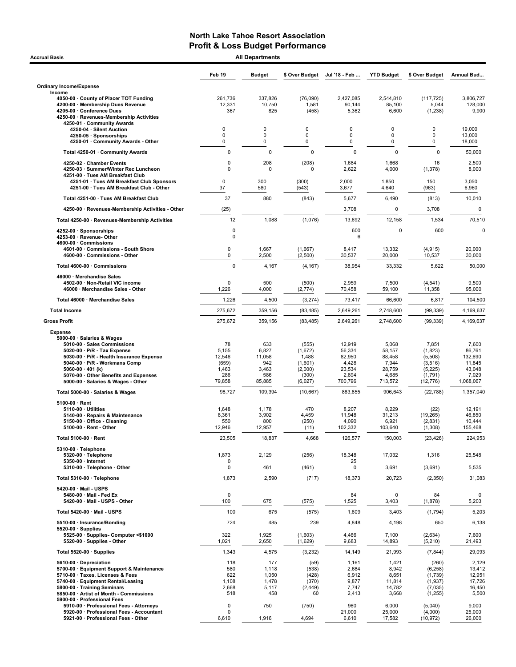| <b>Accrual Basis</b>                                                                                                                                                                                                                                                                                  |                                                          | <b>All Departments</b>                                  |                                                                     |                                                                   |                                                                  |                                                                           |                                                                      |
|-------------------------------------------------------------------------------------------------------------------------------------------------------------------------------------------------------------------------------------------------------------------------------------------------------|----------------------------------------------------------|---------------------------------------------------------|---------------------------------------------------------------------|-------------------------------------------------------------------|------------------------------------------------------------------|---------------------------------------------------------------------------|----------------------------------------------------------------------|
|                                                                                                                                                                                                                                                                                                       | Feb 19                                                   | <b>Budget</b>                                           | \$ Over Budget                                                      | Jul '18 - Feb                                                     | <b>YTD Budget</b>                                                | \$ Over Budget                                                            | Annual Bud                                                           |
| <b>Ordinary Income/Expense</b>                                                                                                                                                                                                                                                                        |                                                          |                                                         |                                                                     |                                                                   |                                                                  |                                                                           |                                                                      |
| Income<br>4050-00 County of Placer TOT Funding<br>4200-00 · Membership Dues Revenue                                                                                                                                                                                                                   | 261,736<br>12,331                                        | 337,826<br>10,750                                       | (76,090)<br>1,581                                                   | 2,427,085<br>90,144                                               | 2.544.810<br>85,100                                              | (117, 725)<br>5,044                                                       | 3,806,727<br>128,000                                                 |
| 4205-00 · Conference Dues<br>4250-00 · Revenues-Membership Activities<br>4250-01 · Community Awards                                                                                                                                                                                                   | 367                                                      | 825                                                     | (458)                                                               | 5,362                                                             | 6,600                                                            | (1, 238)                                                                  | 9,900                                                                |
| 4250-04 · Silent Auction<br>4250-05 · Sponsorships                                                                                                                                                                                                                                                    | 0<br>0                                                   | $\mathbf 0$<br>0                                        | $\mathbf 0$<br>$\mathbf 0$                                          | $\Omega$<br>$\mathbf 0$                                           | 0<br>0                                                           | $\Omega$<br>0                                                             | 19,000<br>13,000                                                     |
| 4250-01 · Community Awards - Other                                                                                                                                                                                                                                                                    | $\mathbf 0$                                              | 0                                                       | $\mathbf 0$                                                         | 0                                                                 | 0                                                                | 0                                                                         | 18,000                                                               |
| Total 4250-01 · Community Awards                                                                                                                                                                                                                                                                      | $\pmb{0}$                                                | 0                                                       | $\mathbf 0$                                                         | $\mathbf 0$                                                       | $\mathbf 0$                                                      | $\mathbf 0$                                                               | 50,000                                                               |
| 4250-02 · Chamber Events<br>4250-03 · Summer/Winter Rec Luncheon<br>4251-00 · Tues AM Breakfast Club                                                                                                                                                                                                  | 0<br>$\Omega$                                            | 208<br>0                                                | (208)<br>$\mathbf 0$                                                | 1,684<br>2,622                                                    | 1,668<br>4,000                                                   | 16<br>(1, 378)                                                            | 2,500<br>8,000                                                       |
| 4251-01 · Tues AM Breakfast Club Sponsors<br>4251-00 · Tues AM Breakfast Club - Other                                                                                                                                                                                                                 | 0<br>37                                                  | 300<br>580                                              | (300)<br>(543)                                                      | 2,000<br>3,677                                                    | 1,850<br>4,640                                                   | 150<br>(963)                                                              | 3,050<br>6,960                                                       |
| Total 4251-00 · Tues AM Breakfast Club                                                                                                                                                                                                                                                                | 37                                                       | 880                                                     | (843)                                                               | 5,677                                                             | 6,490                                                            | (813)                                                                     | 10,010                                                               |
| 4250-00 · Revenues-Membership Activities - Other                                                                                                                                                                                                                                                      | (25)                                                     |                                                         |                                                                     | 3,708                                                             | $\mathbf 0$                                                      | 3,708                                                                     |                                                                      |
| Total 4250-00 · Revenues-Membership Activities                                                                                                                                                                                                                                                        | 12                                                       | 1,088                                                   | (1,076)                                                             | 13,692                                                            | 12,158                                                           | 1,534                                                                     | 70,510                                                               |
| 4252-00 · Sponsorships<br>4253-00 · Revenue- Other<br>4600-00 Commissions                                                                                                                                                                                                                             | 0<br>0                                                   |                                                         |                                                                     | 600<br>6                                                          | 0                                                                | 600                                                                       |                                                                      |
| 4601-00 Commissions - South Shore<br>4600-00 Commissions - Other                                                                                                                                                                                                                                      | 0<br>0                                                   | 1,667<br>2,500                                          | (1,667)<br>(2,500)                                                  | 8,417<br>30,537                                                   | 13,332<br>20,000                                                 | (4, 915)<br>10,537                                                        | 20,000<br>30,000                                                     |
| Total 4600-00 · Commissions<br>46000 · Merchandise Sales                                                                                                                                                                                                                                              | $\mathbf 0$                                              | 4,167                                                   | (4, 167)                                                            | 38,954                                                            | 33,332                                                           | 5,622                                                                     | 50,000                                                               |
| 4502-00 · Non-Retail VIC income<br>46000 · Merchandise Sales - Other                                                                                                                                                                                                                                  | $\Omega$<br>1,226                                        | 500<br>4,000                                            | (500)<br>(2,774)                                                    | 2,959<br>70,458                                                   | 7,500<br>59,100                                                  | (4, 541)<br>11,358                                                        | 9,500<br>95,000                                                      |
| Total 46000 · Merchandise Sales                                                                                                                                                                                                                                                                       | 1,226                                                    | 4,500                                                   | (3, 274)                                                            | 73,417                                                            | 66,600                                                           | 6,817                                                                     | 104,500                                                              |
| <b>Total Income</b>                                                                                                                                                                                                                                                                                   | 275,672                                                  | 359,156                                                 | (83, 485)                                                           | 2,649,261                                                         | 2,748,600                                                        | (99, 339)                                                                 | 4,169,637                                                            |
| <b>Gross Profit</b>                                                                                                                                                                                                                                                                                   | 275,672                                                  | 359,156                                                 | (83, 485)                                                           | 2,649,261                                                         | 2,748,600                                                        | (99, 339)                                                                 | 4,169,637                                                            |
| <b>Expense</b><br>5000-00 · Salaries & Wages<br>5010-00 · Sales Commissions<br>5020-00 $\cdot$ P/R - Tax Expense<br>5030-00 · P/R - Health Insurance Expense<br>5040-00 · P/R - Workmans Comp<br>5060-00 $\cdot$ 401 (k)<br>5070-00 Other Benefits and Expenses<br>5000-00 · Salaries & Wages - Other | 78<br>5,155<br>12,546<br>(659)<br>1,463<br>286<br>79,858 | 633<br>6,827<br>11,058<br>942<br>3,463<br>586<br>85,885 | (555)<br>(1,672)<br>1,488<br>(1,601)<br>(2,000)<br>(300)<br>(6,027) | 12,919<br>56,334<br>82,950<br>4,428<br>23,534<br>2,894<br>700,796 | 5,068<br>58,157<br>88,458<br>7,944<br>28,759<br>4,685<br>713,572 | 7,851<br>(1,823)<br>(5,508)<br>(3,516)<br>(5,225)<br>(1,791)<br>(12, 776) | 7,600<br>86,761<br>132,690<br>11,845<br>43,048<br>7,029<br>1,068,067 |
| Total 5000-00 · Salaries & Wages                                                                                                                                                                                                                                                                      | 98,727                                                   | 109,394                                                 | (10,667)                                                            | 883,855                                                           | 906,643                                                          | (22, 788)                                                                 | 1,357,040                                                            |
| $5100-00 \cdot$ Rent<br>5110-00 · Utilities<br>5140-00 · Repairs & Maintenance<br>5150-00 Office - Cleaning<br>5100-00 · Rent - Other                                                                                                                                                                 | 1,648<br>8,361<br>550<br>12,946                          | 1,178<br>3,902<br>800<br>12,957                         | 470<br>4,459<br>(250)<br>(11)                                       | 8,207<br>11,948<br>4,090<br>102,332                               | 8,229<br>31,213<br>6,921<br>103,640                              | (22)<br>(19, 265)<br>(2,831)<br>(1,308)                                   | 12,191<br>46,850<br>10,444<br>155,468                                |
| Total 5100-00 · Rent                                                                                                                                                                                                                                                                                  | 23,505                                                   | 18,837                                                  | 4,668                                                               | 126,577                                                           | 150,003                                                          | (23, 426)                                                                 | 224,953                                                              |
| 5310-00 · Telephone<br>5320-00 · Telephone<br>5350-00 · Internet                                                                                                                                                                                                                                      | 1,873<br>0                                               | 2,129                                                   | (256)                                                               | 18,348<br>25                                                      | 17,032                                                           | 1,316                                                                     | 25,548                                                               |
| 5310-00 · Telephone - Other                                                                                                                                                                                                                                                                           | 0                                                        | 461                                                     | (461)                                                               | 0                                                                 | 3,691                                                            | (3,691)                                                                   | 5,535                                                                |
| Total 5310-00 · Telephone                                                                                                                                                                                                                                                                             | 1,873                                                    | 2,590                                                   | (717)                                                               | 18,373                                                            | 20,723                                                           | (2,350)                                                                   | 31,083                                                               |
| 5420-00 Mail - USPS<br>5480-00 · Mail - Fed Ex<br>5420-00 · Mail - USPS - Other                                                                                                                                                                                                                       | $\mathbf 0$<br>100                                       | 675                                                     | (575)                                                               | 84<br>1,525                                                       | $\mathbf 0$<br>3,403                                             | 84<br>(1,878)                                                             | 5,203                                                                |
| Total 5420-00 · Mail - USPS                                                                                                                                                                                                                                                                           | 100                                                      | 675                                                     | (575)                                                               | 1,609                                                             | 3,403                                                            | (1,794)                                                                   | 5,203                                                                |
| 5510-00 · Insurance/Bonding<br>$5520-00 \cdot$ Supplies                                                                                                                                                                                                                                               | 724                                                      | 485                                                     | 239                                                                 | 4,848                                                             | 4,198                                                            | 650                                                                       | 6,138                                                                |
| 5525-00 · Supplies- Computer <\$1000<br>5520-00 · Supplies - Other                                                                                                                                                                                                                                    | 322<br>1,021                                             | 1,925<br>2,650                                          | (1,603)<br>(1,629)                                                  | 4,466<br>9,683                                                    | 7,100<br>14,893                                                  | (2,634)<br>(5, 210)                                                       | 7,600<br>21,493                                                      |
| Total 5520-00 · Supplies                                                                                                                                                                                                                                                                              | 1,343                                                    | 4,575                                                   | (3,232)                                                             | 14,149                                                            | 21,993                                                           | (7, 844)                                                                  | 29,093                                                               |
| 5610-00 Depreciation<br>5700-00 · Equipment Support & Maintenance<br>5710-00 · Taxes, Licenses & Fees<br>5740-00 · Equipment Rental/Leasing<br>5800-00 · Training Seminars<br>5850-00 · Artist of Month - Commissions                                                                                 | 118<br>580<br>622<br>1,108<br>2,668<br>518               | 177<br>1,118<br>1,050<br>1,478<br>5,117<br>458          | (59)<br>(538)<br>(428)<br>(370)<br>(2, 449)<br>60                   | 1,161<br>2,684<br>6,912<br>9,877<br>7,747<br>2,413                | 1,421<br>8,942<br>8,651<br>11,814<br>14,782<br>3,668             | (260)<br>(6, 258)<br>(1,739)<br>(1,937)<br>(7,035)<br>(1,255)             | 2,129<br>13,412<br>12,951<br>17,726<br>16,450<br>5,500               |
| 5900-00 · Professional Fees<br>5910-00 · Professional Fees - Attorneys<br>5920-00 · Professional Fees - Accountant<br>5921-00 · Professional Fees - Other                                                                                                                                             | $\mathbf 0$<br>$\Omega$<br>6,610                         | 750<br>1,916                                            | (750)<br>4,694                                                      | 960<br>21,000<br>6,610                                            | 6,000<br>25,000<br>17,582                                        | (5,040)<br>(4,000)<br>(10, 972)                                           | 9,000<br>25,000<br>26,000                                            |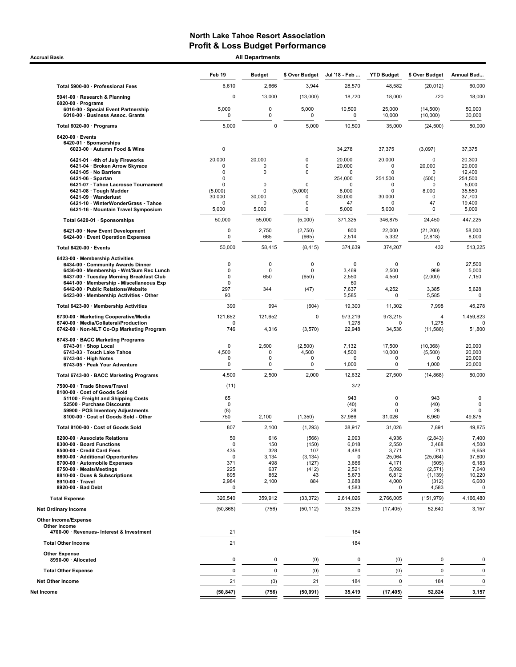**Accrual Basis** 

| <b>All Departments</b> |  |
|------------------------|--|

|                                                                                                                                                                                                                                                                                           | Feb 19                                                                                          | <b>Budget</b>                                            | \$ Over Budget                                                   | Jul '18 - Feb                                                                         | <b>YTD Budget</b>                                                          | \$ Over Budget                                                                        | Annual Bud                                                                            |
|-------------------------------------------------------------------------------------------------------------------------------------------------------------------------------------------------------------------------------------------------------------------------------------------|-------------------------------------------------------------------------------------------------|----------------------------------------------------------|------------------------------------------------------------------|---------------------------------------------------------------------------------------|----------------------------------------------------------------------------|---------------------------------------------------------------------------------------|---------------------------------------------------------------------------------------|
| Total 5900-00 · Professional Fees                                                                                                                                                                                                                                                         | 6,610                                                                                           | 2,666                                                    | 3,944                                                            | 28,570                                                                                | 48,582                                                                     | (20, 012)                                                                             | 60,000                                                                                |
| 5941-00 · Research & Planning                                                                                                                                                                                                                                                             | $\mathbf 0$                                                                                     | 13,000                                                   | (13,000)                                                         | 18,720                                                                                | 18,000                                                                     | 720                                                                                   | 18,000                                                                                |
| $6020-00 \cdot$ Programs<br>6016-00 · Special Event Partnership<br>6018-00 · Business Assoc. Grants                                                                                                                                                                                       | 5,000<br>0                                                                                      | 0<br>0                                                   | 5,000<br>0                                                       | 10,500<br>0                                                                           | 25,000<br>10,000                                                           | (14.500)<br>(10,000)                                                                  | 50,000<br>30,000                                                                      |
| Total 6020-00 · Programs                                                                                                                                                                                                                                                                  | 5,000                                                                                           | $\mathbf 0$                                              | 5,000                                                            | 10,500                                                                                | 35,000                                                                     | (24, 500)                                                                             | 80,000                                                                                |
| 6420-00 · Events<br>6420-01 · Sponsorships<br>6023-00 · Autumn Food & Wine                                                                                                                                                                                                                | $\mathbf 0$                                                                                     |                                                          |                                                                  | 34,278                                                                                | 37,375                                                                     | (3,097)                                                                               | 37,375                                                                                |
| 6421-01 · 4th of July Fireworks<br>6421-04 · Broken Arrow Skyrace<br>6421-05 · No Barriers<br>6421-06 · Spartan<br>6421-07 · Tahoe Lacrosse Tournament<br>6421-08 · Tough Mudder<br>6421-09 · Wanderlust<br>6421-10 · WinterWonderGrass - Tahoe<br>6421-16 · Mountain Travel Symposium    | 20,000<br>$\mathbf 0$<br>$\mathbf 0$<br>0<br>$\Omega$<br>(5,000)<br>30,000<br>$\Omega$<br>5,000 | 20,000<br>0<br>0<br>0<br>0<br>30,000<br>0<br>5,000       | 0<br>0<br>$\mathbf 0$<br>$\mathbf 0$<br>(5,000)<br>0<br>0<br>0   | 20,000<br>20,000<br>$\Omega$<br>254,000<br>$\Omega$<br>8,000<br>30,000<br>47<br>5,000 | 20,000<br>0<br>0<br>254,500<br>0<br>0<br>30,000<br>0<br>5,000              | 0<br>20,000<br>0<br>(500)<br><sup>0</sup><br>8,000<br>0<br>47<br>0                    | 20,300<br>20,000<br>12,400<br>254,500<br>5,000<br>35,550<br>37,700<br>19,400<br>5,000 |
| Total 6420-01 · Sponsorships                                                                                                                                                                                                                                                              | 50,000                                                                                          | 55,000                                                   | (5,000)                                                          | 371,325                                                                               | 346,875                                                                    | 24,450                                                                                | 447,225                                                                               |
| 6421-00 · New Event Development<br>6424-00 · Event Operation Expenses                                                                                                                                                                                                                     | 0<br>$\mathbf 0$                                                                                | 2,750<br>665                                             | (2,750)<br>(665)                                                 | 800<br>2,514                                                                          | 22,000<br>5,332                                                            | (21, 200)<br>(2,818)                                                                  | 58,000<br>8,000                                                                       |
| Total 6420-00 · Events                                                                                                                                                                                                                                                                    | 50,000                                                                                          | 58,415                                                   | (8, 415)                                                         | 374,639                                                                               | 374,207                                                                    | 432                                                                                   | 513,225                                                                               |
| 6423-00 · Membership Activities<br>6434-00 · Community Awards Dinner<br>6436-00 · Membership - Wnt/Sum Rec Lunch<br>6437-00 · Tuesday Morning Breakfast Club<br>6441-00 · Membership - Miscellaneous Exp<br>6442-00 · Public Relations/Website<br>6423-00 · Membership Activities - Other | 0<br>0<br>0<br>$\Omega$<br>297<br>93                                                            | $\mathbf 0$<br>$\mathbf 0$<br>650<br>344                 | 0<br>0<br>(650)<br>(47)                                          | $\mathbf 0$<br>3,469<br>2,550<br>60<br>7,637<br>5,585                                 | $\mathbf 0$<br>2,500<br>4,550<br>4,252<br>0                                | $\pmb{0}$<br>969<br>(2,000)<br>3,385<br>5,585                                         | 27,500<br>5,000<br>7,150<br>5,628<br>0                                                |
| Total 6423-00 · Membership Activities                                                                                                                                                                                                                                                     | 390                                                                                             | 994                                                      | (604)                                                            | 19,300                                                                                | 11,302                                                                     | 7,998                                                                                 | 45,278                                                                                |
| 6730-00 · Marketing Cooperative/Media<br>6740-00 · Media/Collateral/Production<br>6742-00 · Non-NLT Co-Op Marketing Program                                                                                                                                                               | 121,652<br>$\Omega$<br>746                                                                      | 121,652<br>4,316                                         | 0<br>(3,570)                                                     | 973,219<br>1,278<br>22,948                                                            | 973,215<br>0<br>34,536                                                     | $\overline{4}$<br>1,278<br>(11,588)                                                   | 1,459,823<br>51,800                                                                   |
| 6743-00 · BACC Marketing Programs<br>6743-01 · Shop Local<br>6743-03 · Touch Lake Tahoe<br>6743-04 · High Notes<br>6743-05 · Peak Your Adventure                                                                                                                                          | 0<br>4,500<br>0<br>0                                                                            | 2,500<br>0<br>0<br>$\mathbf 0$                           | (2,500)<br>4,500<br>0<br>0                                       | 7,132<br>4,500<br>0<br>1,000                                                          | 17,500<br>10,000<br>0<br>0                                                 | (10, 368)<br>(5,500)<br>0<br>1,000                                                    | 20,000<br>20,000<br>20,000<br>20,000                                                  |
| Total 6743-00 · BACC Marketing Programs                                                                                                                                                                                                                                                   | 4,500                                                                                           | 2,500                                                    | 2,000                                                            | 12,632                                                                                | 27,500                                                                     | (14, 868)                                                                             | 80,000                                                                                |
| 7500-00 · Trade Shows/Travel<br>8100-00 · Cost of Goods Sold<br>51100 · Freight and Shipping Costs<br>52500 · Purchase Discounts<br>59900 · POS Inventory Adjustments<br>8100-00 · Cost of Goods Sold - Other                                                                             | (11)<br>65<br>0<br>(8)<br>750                                                                   | 2,100                                                    | (1,350)                                                          | 372<br>943<br>(40)<br>28<br>37,986                                                    | $\mathbf 0$<br>$\mathbf 0$<br>$\mathbf 0$<br>31,026                        | 943<br>(40)<br>28<br>6,960                                                            | $\pmb{0}$<br>$\mathbf 0$<br>$\mathbf 0$<br>49,875                                     |
| Total 8100-00 · Cost of Goods Sold                                                                                                                                                                                                                                                        | 807                                                                                             | 2,100                                                    | (1, 293)                                                         | 38,917                                                                                | 31,026                                                                     | 7,891                                                                                 | 49,875                                                                                |
| 8200-00 · Associate Relations<br>8300-00 · Board Functions<br>8500-00 · Credit Card Fees<br>8600-00 · Additional Opportunites<br>8700-00 · Automobile Expenses<br>8750-00 · Meals/Meetings<br>8810-00 · Dues & Subscriptions<br>8910-00 · Travel<br>8920-00 · Bad Debt                    | 50<br>0<br>435<br>$\mathbf 0$<br>371<br>225<br>895<br>2,984<br>$\mathbf 0$                      | 616<br>150<br>328<br>3,134<br>498<br>637<br>852<br>2,100 | (566)<br>(150)<br>107<br>(3, 134)<br>(127)<br>(412)<br>43<br>884 | 2,093<br>6,018<br>4,484<br>0<br>3,666<br>2,521<br>5,673<br>3,688<br>4,583             | 4,936<br>2,550<br>3,771<br>25,064<br>4,171<br>5,092<br>6,812<br>4,000<br>0 | (2,843)<br>3,468<br>713<br>(25,064)<br>(505)<br>(2,571)<br>(1, 139)<br>(312)<br>4,583 | 7,400<br>4,500<br>6,658<br>37,600<br>6,183<br>7,640<br>10,220<br>6,600<br>0           |
| <b>Total Expense</b>                                                                                                                                                                                                                                                                      | 326,540                                                                                         | 359,912                                                  | (33, 372)                                                        | 2,614,026                                                                             | 2,766,005                                                                  | (151, 979)                                                                            | 4,166,480                                                                             |
| <b>Net Ordinary Income</b>                                                                                                                                                                                                                                                                | (50, 868)                                                                                       | (756)                                                    | (50, 112)                                                        | 35,235                                                                                | (17, 405)                                                                  | 52,640                                                                                | 3,157                                                                                 |
| <b>Other Income/Expense</b><br>Other Income<br>4700-00 · Revenues- Interest & Investment                                                                                                                                                                                                  | 21                                                                                              |                                                          |                                                                  | 184                                                                                   |                                                                            |                                                                                       |                                                                                       |
| <b>Total Other Income</b>                                                                                                                                                                                                                                                                 | 21                                                                                              |                                                          |                                                                  | 184                                                                                   |                                                                            |                                                                                       |                                                                                       |
| <b>Other Expense</b><br>8990-00 · Allocated                                                                                                                                                                                                                                               | 0                                                                                               | 0                                                        | (0)                                                              | 0                                                                                     | (0)                                                                        | $\pmb{0}$                                                                             | 0                                                                                     |
| <b>Total Other Expense</b>                                                                                                                                                                                                                                                                | $\mathbf 0$                                                                                     | $\mathsf 0$                                              | (0)                                                              | 0                                                                                     | (0)                                                                        | $\pmb{0}$                                                                             | $\mathbf 0$                                                                           |
| <b>Net Other Income</b>                                                                                                                                                                                                                                                                   | 21                                                                                              | (0)                                                      | 21                                                               | 184                                                                                   | $\mathbf 0$                                                                | 184                                                                                   | $\mathbf{0}$                                                                          |
| Net Income                                                                                                                                                                                                                                                                                | (50, 847)                                                                                       | (756)                                                    | (50, 091)                                                        | 35,419                                                                                | (17, 405)                                                                  | 52,824                                                                                | 3,157                                                                                 |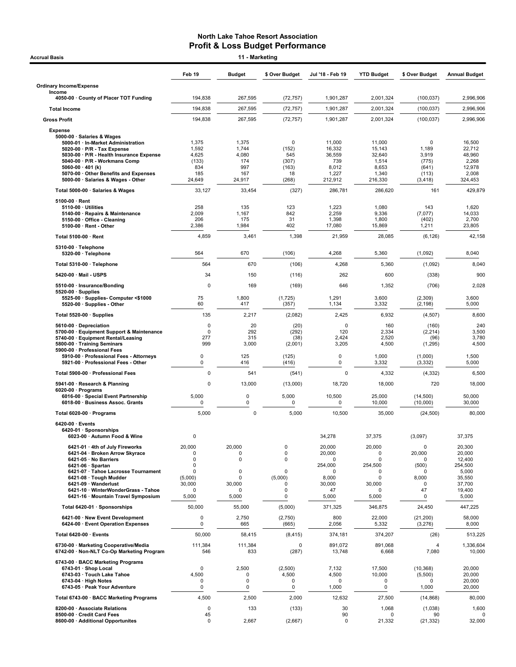|                                                                                                                                                                                     | Feb 19                                 | <b>Budget</b>                                       | \$ Over Budget                           | Jul '18 - Feb 19                           | <b>YTD Budget</b>                            | \$ Over Budget                               | <b>Annual Budget</b>                           |
|-------------------------------------------------------------------------------------------------------------------------------------------------------------------------------------|----------------------------------------|-----------------------------------------------------|------------------------------------------|--------------------------------------------|----------------------------------------------|----------------------------------------------|------------------------------------------------|
| <b>Ordinary Income/Expense</b>                                                                                                                                                      |                                        |                                                     |                                          |                                            |                                              |                                              |                                                |
| Income<br>4050-00 · County of Placer TOT Funding                                                                                                                                    | 194,838                                | 267,595                                             | (72, 757)                                | 1,901,287                                  | 2,001,324                                    | (100, 037)                                   | 2.996.906                                      |
| <b>Total Income</b>                                                                                                                                                                 | 194,838                                | 267,595                                             | (72, 757)                                | 1,901,287                                  | 2,001,324                                    | (100, 037)                                   | 2,996,906                                      |
| <b>Gross Profit</b>                                                                                                                                                                 | 194,838                                | 267,595                                             | (72, 757)                                | 1,901,287                                  | 2,001,324                                    | (100, 037)                                   | 2,996,906                                      |
| <b>Expense</b><br>5000-00 · Salaries & Wages<br>5000-01 · In-Market Administration<br>$5020-00 \cdot P/R$ - Tax Expense                                                             | 1,375<br>1,592                         | 1,375<br>1,744                                      | $\mathbf 0$<br>(152)                     | 11,000<br>16,332                           | 11,000<br>15,143                             | $\mathbf 0$<br>1,189                         | 16,500<br>22,712                               |
| 5030-00 · P/R - Health Insurance Expense<br>5040-00 · P/R - Workmans Comp<br>$5060-00 \cdot 401$ (k)<br>5070-00 · Other Benefits and Expenses<br>5000-00 · Salaries & Wages - Other | 4,625<br>(133)<br>834<br>185<br>24,649 | 4,080<br>174<br>997<br>167<br>24,917                | 545<br>(307)<br>(163)<br>18<br>(268)     | 36,559<br>739<br>8,012<br>1,227<br>212,912 | 32,640<br>1,514<br>8,653<br>1,340<br>216,330 | 3,919<br>(775)<br>(641)<br>(113)<br>(3, 418) | 48,960<br>2,268<br>12,978<br>2,008<br>324,453  |
| Total 5000-00 · Salaries & Wages                                                                                                                                                    | 33,127                                 | 33,454                                              | (327)                                    | 286,781                                    | 286,620                                      | 161                                          | 429,879                                        |
| $5100-00 \cdot$ Rent<br>$5110-00 \cdot$ Utilities<br>5140-00 · Repairs & Maintenance<br>5150-00 · Office - Cleaning<br>5100-00 · Rent - Other                                       | 258<br>2,009<br>206<br>2,386           | 135<br>1,167<br>175<br>1,984                        | 123<br>842<br>31<br>402                  | 1,223<br>2,259<br>1,398<br>17,080          | 1,080<br>9,336<br>1,800<br>15,869            | 143<br>(7,077)<br>(402)<br>1,211             | 1,620<br>14,033<br>2,700<br>23,805             |
| Total 5100-00 · Rent                                                                                                                                                                | 4,859                                  | 3,461                                               | 1,398                                    | 21,959                                     | 28,085                                       | (6, 126)                                     | 42,158                                         |
| 5310-00 · Telephone<br>5320-00 · Telephone                                                                                                                                          | 564                                    | 670                                                 | (106)                                    | 4,268                                      | 5,360                                        | (1,092)                                      | 8,040                                          |
| Total 5310-00 · Telephone                                                                                                                                                           | 564                                    | 670                                                 | (106)                                    | 4,268                                      | 5,360                                        | (1,092)                                      | 8,040                                          |
| 5420-00 · Mail - USPS                                                                                                                                                               | 34                                     | 150                                                 | (116)                                    | 262                                        | 600                                          | (338)                                        | 900                                            |
| 5510-00 · Insurance/Bonding<br>$5520-00 \cdot$ Supplies                                                                                                                             | 0                                      | 169                                                 | (169)                                    | 646                                        | 1,352                                        | (706)                                        | 2,028                                          |
| 5525-00 · Supplies- Computer <\$1000<br>5520-00 · Supplies - Other                                                                                                                  | 75<br>60                               | 1,800<br>417                                        | (1,725)<br>(357)                         | 1,291<br>1,134                             | 3,600<br>3,332                               | (2,309)<br>(2, 198)                          | 3,600<br>5,000                                 |
| Total 5520-00 · Supplies                                                                                                                                                            | 135                                    | 2,217                                               | (2,082)                                  | 2,425                                      | 6,932                                        | (4, 507)                                     | 8,600                                          |
| 5610-00 · Depreciation<br>5700-00 · Equipment Support & Maintenance<br>5740-00 · Equipment Rental/Leasing<br>5800-00 · Training Seminars                                            | $\Omega$<br>$\Omega$<br>277<br>999     | 20<br>292<br>315<br>3,000                           | (20)<br>(292)<br>(38)<br>(2,001)         | $\mathbf 0$<br>120<br>2,424<br>3,205       | 160<br>2,334<br>2,520<br>4,500               | (160)<br>(2, 214)<br>(96)<br>(1, 295)        | 240<br>3,500<br>3,780<br>4,500                 |
| 5900-00 · Professional Fees<br>5910-00 · Professional Fees - Attorneys<br>5921-00 · Professional Fees - Other                                                                       | $\pmb{0}$<br>0                         | 125<br>416                                          | (125)<br>(416)                           | 0<br>0                                     | 1,000<br>3,332                               | (1,000)<br>(3, 332)                          | 1,500<br>5,000                                 |
| Total 5900-00 · Professional Fees                                                                                                                                                   | $\Omega$                               | 541                                                 | (541)                                    | $\mathbf 0$                                | 4,332                                        | (4, 332)                                     | 6,500                                          |
| 5941-00 · Research & Planning<br>$6020-00 \cdot$ Programs                                                                                                                           | 0                                      | 13,000                                              | (13,000)                                 | 18,720                                     | 18,000                                       | 720                                          | 18,000                                         |
| 6016-00 · Special Event Partnership<br>6018-00 · Business Assoc. Grants                                                                                                             | 5,000<br>0                             | $\mathbf 0$<br>0                                    | 5,000<br>0                               | 10,500<br>0                                | 25,000<br>10,000                             | (14, 500)<br>(10,000)                        | 50,000<br>30,000                               |
| Total 6020-00 · Programs                                                                                                                                                            | 5,000                                  | 0                                                   | 5,000                                    | 10,500                                     | 35,000                                       | (24, 500)                                    | 80,000                                         |
| $6420-00 \cdot$ Events<br>6420-01 · Sponsorships<br>6023-00 · Autumn Food & Wine                                                                                                    | 0                                      |                                                     |                                          | 34,278                                     | 37,375                                       | (3,097)                                      | 37,375                                         |
| 6421-01 · 4th of July Fireworks<br>6421-04 · Broken Arrow Skyrace                                                                                                                   | 20,000<br>O                            | 20,000<br>ŋ                                         | 0<br>0                                   | 20,000<br>20,000                           | 20,000<br>0                                  | 0<br>20,000                                  | 20,300<br>20,000                               |
| 6421-05 · No Barriers<br>$6421-06 \cdot$ Spartan<br>6421-07 · Tahoe Lacrosse Tournament<br>6421-08 · Tough Mudder<br>6421-09 · Wanderlust                                           | 0<br>0<br>0<br>(5,000)<br>30,000       | $\mathbf 0$<br>$\mathbf 0$<br>$\mathbf 0$<br>30,000 | 0<br>$\pmb{0}$<br>(5,000)<br>$\mathbf 0$ | 0<br>254,000<br>0<br>8,000<br>30,000       | 0<br>254,500<br>0<br>0<br>30,000             | (500)<br>n<br>8,000<br>0                     | 12,400<br>254,500<br>5,000<br>35,550<br>37,700 |
| 6421-10 · WinterWonderGrass - Tahoe<br>6421-16 · Mountain Travel Symposium                                                                                                          | 0<br>5,000                             | O<br>5,000                                          | $\mathbf 0$<br>0                         | 47<br>5,000                                | 0<br>5,000                                   | 47<br>0                                      | 19,400<br>5,000                                |
| Total 6420-01 · Sponsorships                                                                                                                                                        | 50,000                                 | 55,000                                              | (5,000)                                  | 371,325                                    | 346,875                                      | 24,450                                       | 447,225                                        |
| 6421-00 · New Event Development<br>6424-00 · Event Operation Expenses                                                                                                               | $\pmb{0}$<br>$\pmb{0}$                 | 2,750<br>665                                        | (2,750)<br>(665)                         | 800<br>2,056                               | 22,000<br>5,332                              | (21, 200)<br>(3, 276)                        | 58,000<br>8,000                                |
| Total 6420-00 · Events                                                                                                                                                              | 50,000                                 | 58,415                                              | (8, 415)                                 | 374,181                                    | 374,207                                      | (26)                                         | 513,225                                        |
| 6730-00 · Marketing Cooperative/Media<br>6742-00 · Non-NLT Co-Op Marketing Program                                                                                                  | 111,384<br>546                         | 111,384<br>833                                      | 0<br>(287)                               | 891,072<br>13,748                          | 891,068<br>6,668                             | 4<br>7,080                                   | 1,336,604<br>10,000                            |
| 6743-00 · BACC Marketing Programs<br>6743-01 · Shop Local<br>6743-03 · Touch Lake Tahoe<br>$6743-04 \cdot$ High Notes<br>6743-05 · Peak Your Adventure                              | $\mathbf 0$<br>4,500<br>0<br>0         | 2,500<br>0<br>0<br>0                                | (2,500)<br>4,500<br>0<br>0               | 7,132<br>4,500<br>0<br>1,000               | 17,500<br>10,000<br>$\mathbf 0$<br>0         | (10, 368)<br>(5,500)<br>$\Omega$<br>1,000    | 20,000<br>20,000<br>20,000<br>20,000           |
| Total 6743-00 · BACC Marketing Programs                                                                                                                                             | 4,500                                  | 2,500                                               | 2,000                                    | 12,632                                     | 27,500                                       | (14, 868)                                    | 80,000                                         |
| 8200-00 · Associate Relations                                                                                                                                                       | 0                                      | 133                                                 | (133)                                    | 30                                         | 1,068                                        | (1,038)                                      | 1,600                                          |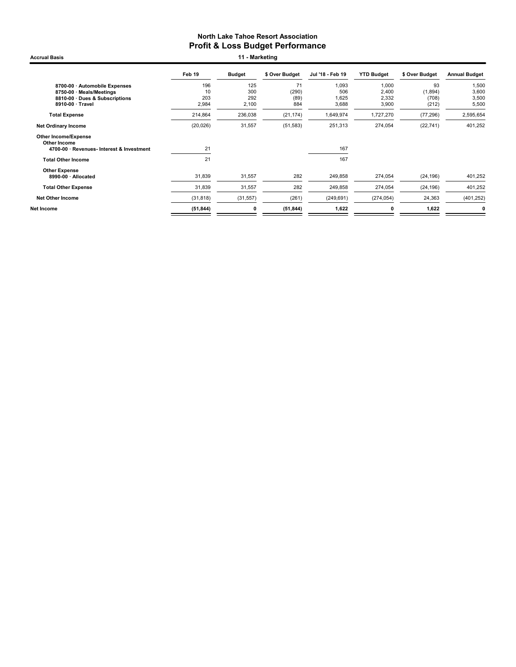Accrual Basis **11 - Marketing** 

|                                                  | Feb 19       | <b>Budget</b> | \$ Over Budget | Jul '18 - Feb 19 | <b>YTD Budget</b> | \$ Over Budget | <b>Annual Budget</b> |
|--------------------------------------------------|--------------|---------------|----------------|------------------|-------------------|----------------|----------------------|
| 8700-00 · Automobile Expenses                    | 196          | 125           | 71             | 1,093            | 1,000             | 93             | 1,500                |
| 8750-00 · Meals/Meetings                         | 10           | 300<br>292    | (290)          | 506              | 2,400             | (1,894)        | 3,600                |
| 8810-00 Dues & Subscriptions<br>8910-00 · Travel | 203<br>2,984 | 2,100         | (89)<br>884    | 1,625<br>3,688   | 2,332<br>3,900    | (708)<br>(212) | 3,500<br>5,500       |
|                                                  |              |               |                |                  |                   |                |                      |
| <b>Total Expense</b>                             | 214,864      | 236,038       | (21, 174)      | 1,649,974        | 1,727,270         | (77, 296)      | 2,595,654            |
| <b>Net Ordinary Income</b>                       | (20, 026)    | 31,557        | (51, 583)      | 251,313          | 274,054           | (22, 741)      | 401,252              |
| <b>Other Income/Expense</b><br>Other Income      |              |               |                |                  |                   |                |                      |
| 4700-00 · Revenues- Interest & Investment        | 21           |               |                | 167              |                   |                |                      |
| <b>Total Other Income</b>                        | 21           |               |                | 167              |                   |                |                      |
| <b>Other Expense</b>                             |              |               |                |                  |                   |                |                      |
| 8990-00 · Allocated                              | 31,839       | 31,557        | 282            | 249,858          | 274,054           | (24, 196)      | 401,252              |
| <b>Total Other Expense</b>                       | 31,839       | 31,557        | 282            | 249,858          | 274,054           | (24, 196)      | 401,252              |
| <b>Net Other Income</b>                          | (31, 818)    | (31, 557)     | (261)          | (249, 691)       | (274, 054)        | 24,363         | (401, 252)           |
| Net Income                                       | (51, 844)    | 0             | (51, 844)      | 1,622            | 0                 | 1,622          | 0                    |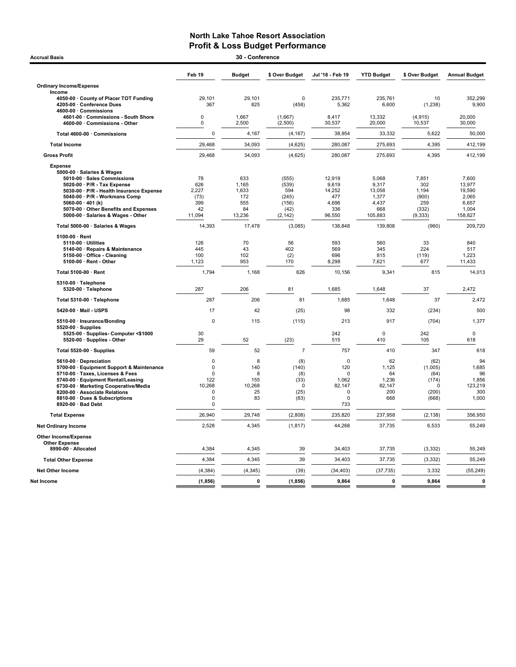| <b>Accrual Basis</b>                                                                         |               | 30 - Conference |                    |                  |                   |                    |                      |
|----------------------------------------------------------------------------------------------|---------------|-----------------|--------------------|------------------|-------------------|--------------------|----------------------|
|                                                                                              | Feb 19        | <b>Budget</b>   | \$ Over Budget     | Jul '18 - Feb 19 | <b>YTD Budget</b> | \$ Over Budget     | <b>Annual Budget</b> |
| <b>Ordinary Income/Expense</b>                                                               |               |                 |                    |                  |                   |                    |                      |
| Income                                                                                       |               |                 |                    |                  |                   |                    |                      |
| 4050-00 · County of Placer TOT Funding<br>4205-00 · Conference Dues<br>4600-00 · Commissions | 29,101<br>367 | 29,101<br>825   | $\Omega$<br>(458)  | 235,771<br>5,362 | 235,761<br>6,600  | 10<br>(1, 238)     | 352,299<br>9,900     |
| 4601-00 Commissions - South Shore<br>4600-00 Commissions - Other                             | 0<br>0        | 1,667<br>2,500  | (1,667)<br>(2,500) | 8,417<br>30,537  | 13,332<br>20,000  | (4, 915)<br>10,537 | 20,000<br>30,000     |
| Total 4600-00 · Commissions                                                                  | 0             | 4,167           | (4, 167)           | 38,954           | 33,332            | 5,622              | 50,000               |
| <b>Total Income</b>                                                                          | 29,468        | 34,093          | (4,625)            | 280,087          | 275,693           | 4,395              | 412,199              |
| <b>Gross Profit</b>                                                                          | 29,468        | 34,093          | (4,625)            | 280,087          | 275,693           | 4,395              | 412,199              |
| <b>Expense</b>                                                                               |               |                 |                    |                  |                   |                    |                      |
| 5000-00 · Salaries & Wages                                                                   |               |                 |                    |                  |                   |                    |                      |
| 5010-00 · Sales Commissions                                                                  | 78            | 633             | (555)              | 12.919           | 5.068             | 7.851              | 7.600                |
| 5020-00 · P/R - Tax Expense                                                                  | 626           | 1,165           | (539)              | 9,619            | 9,317             | 302                | 13,977               |
| 5030-00 · P/R - Health Insurance Expense                                                     | 2,227         | 1,633           | 594                | 14,252           | 13,058            | 1,194              | 19,590               |
| 5040-00 · P/R - Workmans Comp                                                                | (73)          | 172             | (245)              | 477              | 1,377             | (900)              | 2,065                |
| 5060-00 $\cdot$ 401 (k)                                                                      | 399           | 555             | (156)              | 4,696            | 4,437             | 259                | 6,657                |
| 5070-00 · Other Benefits and Expenses                                                        | 42            | 84              | (42)               | 336              | 668               | (332)              | 1,004                |
| 5000-00 · Salaries & Wages - Other                                                           | 11,094        | 13,236          | (2, 142)           | 96,550           | 105,883           | (9, 333)           | 158,827              |
| Total 5000-00 · Salaries & Wages                                                             | 14,393        | 17,478          | (3,085)            | 138,848          | 139,808           | (960)              | 209,720              |
| 5100-00 · Rent                                                                               |               |                 |                    |                  |                   |                    |                      |
| 5110-00 · Utilities                                                                          | 126           | 70              | 56                 | 593              | 560               | 33                 | 840                  |
| 5140-00 · Repairs & Maintenance                                                              | 445           | 43              | 402                | 569              | 345               | 224                | 517                  |
| 5150-00 Office - Cleaning                                                                    | 100           | 102             | (2)                | 696              | 815               | (119)              | 1,223                |
| 5100-00 · Rent - Other                                                                       | 1,123         | 953             | 170                | 8,298            | 7,621             | 677                | 11,433               |
| Total 5100-00 · Rent                                                                         | 1,794         | 1,168           | 626                | 10,156           | 9,341             | 815                | 14,013               |
| 5310-00 · Telephone<br>5320-00 · Telephone                                                   | 287           | 206             | 81                 | 1,685            | 1,648             | 37                 | 2,472                |
| Total 5310-00 · Telephone                                                                    | 287           | 206             | 81                 | 1,685            | 1,648             | 37                 | 2,472                |
| 5420-00 · Mail - USPS                                                                        | 17            | 42              | (25)               | 98               | 332               | (234)              | 500                  |
| 5510-00 · Insurance/Bonding                                                                  | $\Omega$      | 115             | (115)              | 213              | 917               | (704)              | 1,377                |
| $5520-00 \cdot$ Supplies<br>5525-00 · Supplies- Computer <\$1000                             | 30            |                 |                    | 242              | $\mathbf 0$       | 242                | 0                    |
| 5520-00 · Supplies - Other                                                                   | 29            | 52              | (23)               | 515              | 410               | 105                | 618                  |
| Total 5520-00 · Supplies                                                                     | 59            | 52              | $\overline{7}$     | 757              | 410               | 347                | 618                  |
| 5610-00 · Depreciation                                                                       | $\Omega$      | 8               | (8)                | $\mathbf 0$      | 62                | (62)               | 94                   |
| 5700-00 · Equipment Support & Maintenance                                                    | $\mathbf 0$   | 140             | (140)              | 120              | 1,125             | (1,005)            | 1,685                |
| 5710-00 · Taxes, Licenses & Fees                                                             | $\Omega$      | 8               | (8)                | $\Omega$         | 64                | (64)               | 96                   |
| 5740-00 · Equipment Rental/Leasing                                                           | 122           | 155             | (33)               | 1,062            | 1,236             | (174)              | 1,856                |
| 6730-00 · Marketing Cooperative/Media                                                        | 10,268        | 10,268          | $\mathbf 0$        | 82,147           | 82,147            | $\Omega$           | 123,219              |
| 8200-00 · Associate Relations                                                                | $\mathbf 0$   | 25              | (25)               | $\mathbf 0$      | 200               | (200)              | 300                  |
| 8810-00 · Dues & Subscriptions                                                               | $\Omega$      | 83              | (83)               | $\Omega$         | 668               | (668)              | 1,000                |
| 8920-00 · Bad Debt                                                                           | 0             |                 |                    | 733              |                   |                    |                      |
| <b>Total Expense</b>                                                                         | 26,940        | 29,748          | (2,808)            | 235,820          | 237,958           | (2, 138)           | 356,950              |
| <b>Net Ordinary Income</b>                                                                   | 2,528         | 4,345           | (1, 817)           | 44,268           | 37,735            | 6,533              | 55,249               |
| Other Income/Expense                                                                         |               |                 |                    |                  |                   |                    |                      |
| <b>Other Expense</b><br>8990-00 · Allocated                                                  | 4,384         | 4,345           | 39                 | 34,403           | 37,735            | (3, 332)           | 55,249               |
| <b>Total Other Expense</b>                                                                   | 4,384         | 4,345           | 39                 | 34,403           | 37,735            | (3, 332)           | 55,249               |
| <b>Net Other Income</b>                                                                      | (4, 384)      | (4, 345)        | (39)               | (34, 403)        | (37, 735)         | 3,332              | (55, 249)            |
| Net Income                                                                                   | (1, 856)      | $\mathbf 0$     | (1, 856)           | 9,864            | $\mathbf{0}$      | 9,864              | $\mathbf 0$          |
|                                                                                              |               |                 |                    |                  |                   |                    |                      |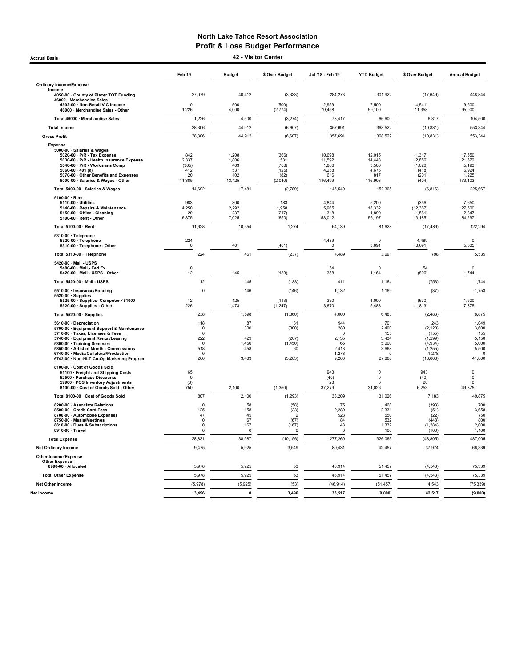Accrual Basis 42 - Visitor Center

|                                                                                                                                                                                                                                                                                                             | Feb 19                                                               | <b>Budget</b>                                 | \$ Over Budget                                              | Jul '18 - Feb 19                                                 | <b>YTD Budget</b>                                                    | \$ Over Budget                                                                    | <b>Annual Budget</b>                                                   |
|-------------------------------------------------------------------------------------------------------------------------------------------------------------------------------------------------------------------------------------------------------------------------------------------------------------|----------------------------------------------------------------------|-----------------------------------------------|-------------------------------------------------------------|------------------------------------------------------------------|----------------------------------------------------------------------|-----------------------------------------------------------------------------------|------------------------------------------------------------------------|
| <b>Ordinary Income/Expense</b>                                                                                                                                                                                                                                                                              |                                                                      |                                               |                                                             |                                                                  |                                                                      |                                                                                   |                                                                        |
| Income<br>4050-00 · County of Placer TOT Funding                                                                                                                                                                                                                                                            | 37,079                                                               | 40,412                                        | (3, 333)                                                    | 284,273                                                          | 301,922                                                              | (17, 649)                                                                         | 448,844                                                                |
| 46000 · Merchandise Sales<br>4502-00 · Non-Retail VIC income<br>46000 · Merchandise Sales - Other                                                                                                                                                                                                           | $\Omega$<br>1,226                                                    | 500<br>4,000                                  | (500)<br>(2,774)                                            | 2,959<br>70,458                                                  | 7,500<br>59,100                                                      | (4, 541)<br>11,358                                                                | 9,500<br>95,000                                                        |
| Total 46000 · Merchandise Sales                                                                                                                                                                                                                                                                             | 1,226                                                                | 4,500                                         | (3,274)                                                     | 73,417                                                           | 66,600                                                               | 6,817                                                                             | 104,500                                                                |
| <b>Total Income</b>                                                                                                                                                                                                                                                                                         | 38,306                                                               | 44,912                                        | (6,607)                                                     | 357,691                                                          | 368,522                                                              | (10, 831)                                                                         | 553,344                                                                |
| <b>Gross Profit</b>                                                                                                                                                                                                                                                                                         | 38,306                                                               | 44,912                                        | (6,607)                                                     | 357,691                                                          | 368,522                                                              | (10, 831)                                                                         | 553,344                                                                |
| Expense<br>5000-00 · Salaries & Wages<br>5020-00 · P/R - Tax Expense<br>5030-00 · P/R - Health Insurance Expense<br>5040-00 · P/R - Workmans Comp<br>5060-00 $\cdot$ 401 (k)<br>5070-00 Other Benefits and Expenses<br>5000-00 · Salaries & Wages - Other                                                   | 842<br>2,337<br>(305)<br>412<br>20<br>11,385                         | 1,208<br>1,806<br>403<br>537<br>102<br>13,425 | (366)<br>531<br>(708)<br>(125)<br>(82)<br>(2,040)           | 10,698<br>11,592<br>1,886<br>4,258<br>616<br>116,499             | 12,015<br>14,448<br>3,506<br>4,676<br>817<br>116,903                 | (1, 317)<br>(2,856)<br>(1,620)<br>(418)<br>(201)<br>(404)                         | 17,550<br>21,672<br>5,193<br>6,924<br>1,225<br>173,103                 |
| Total 5000-00 · Salaries & Wages                                                                                                                                                                                                                                                                            | 14,692                                                               | 17,481                                        | (2,789)                                                     | 145,549                                                          | 152,365                                                              | (6, 816)                                                                          | 225,667                                                                |
| $5100-00 \cdot$ Rent<br>5110-00 · Utilities<br>5140-00 · Repairs & Maintenance<br>5150-00 Office - Cleaning<br>5100-00 · Rent - Other                                                                                                                                                                       | 983<br>4,250<br>20<br>6,375                                          | 800<br>2,292<br>237<br>7,025                  | 183<br>1,958<br>(217)<br>(650)                              | 4,844<br>5,965<br>318<br>53,012                                  | 5,200<br>18,332<br>1,899<br>56,197                                   | (356)<br>(12, 367)<br>(1,581)<br>(3, 185)                                         | 7,650<br>27,500<br>2,847<br>84,297                                     |
| Total 5100-00 · Rent                                                                                                                                                                                                                                                                                        | 11,628                                                               | 10,354                                        | 1,274                                                       | 64,139                                                           | 81,628                                                               | (17, 489)                                                                         | 122,294                                                                |
| 5310-00 · Telephone<br>5320-00 · Telephone<br>5310-00 · Telephone - Other                                                                                                                                                                                                                                   | 224<br>$\mathbf 0$                                                   | 461                                           | (461)                                                       | 4,489<br>$\mathbf 0$                                             | $\mathbf 0$<br>3,691                                                 | 4,489<br>(3,691)                                                                  | $\mathbf 0$<br>5,535                                                   |
| Total 5310-00 · Telephone                                                                                                                                                                                                                                                                                   | 224                                                                  | 461                                           | (237)                                                       | 4,489                                                            | 3,691                                                                | 798                                                                               | 5,535                                                                  |
| 5420-00 · Mail - USPS<br>5480-00 · Mail - Fed Ex<br>5420-00 · Mail - USPS - Other                                                                                                                                                                                                                           | $\Omega$<br>12                                                       | 145                                           | (133)                                                       | 54<br>358                                                        | $\Omega$<br>1,164                                                    | 54<br>(806)                                                                       | $\mathbf 0$<br>1,744                                                   |
| Total 5420-00 · Mail - USPS                                                                                                                                                                                                                                                                                 | 12                                                                   | 145                                           | (133)                                                       | 411                                                              | 1,164                                                                | (753)                                                                             | 1,744                                                                  |
| 5510-00 · Insurance/Bonding<br>$5520-00 \cdot$ Supplies                                                                                                                                                                                                                                                     | 0                                                                    | 146                                           | (146)                                                       | 1,132                                                            | 1,169                                                                | (37)                                                                              | 1,753                                                                  |
| 5525-00 · Supplies- Computer <\$1000<br>5520-00 · Supplies - Other                                                                                                                                                                                                                                          | 12<br>226                                                            | 125<br>1,473                                  | (113)<br>(1, 247)                                           | 330<br>3,670                                                     | 1,000<br>5,483                                                       | (670)<br>(1, 813)                                                                 | 1,500<br>7,375                                                         |
| Total 5520-00 · Supplies                                                                                                                                                                                                                                                                                    | 238                                                                  | 1,598                                         | (1, 360)                                                    | 4,000                                                            | 6,483                                                                | (2, 483)                                                                          | 8,875                                                                  |
| 5610-00 · Depreciation<br>5700-00 · Equipment Support & Maintenance<br>5710-00 · Taxes, Licenses & Fees<br>5740-00 · Equipment Rental/Leasing<br>5800-00 Training Seminars<br>5850-00 · Artist of Month - Commissions<br>6740-00 · Media/Collateral/Production<br>6742-00 · Non-NLT Co-Op Marketing Program | 118<br>0<br>$\Omega$<br>222<br>$\mathbf 0$<br>518<br>$\Omega$<br>200 | 87<br>300<br>429<br>1,450<br>458<br>3,483     | 31<br>(300)<br>(207)<br>(1,450)<br>60<br>(3, 283)           | 944<br>280<br>$\Omega$<br>2,135<br>66<br>2,413<br>1.278<br>9,200 | 701<br>2,400<br>155<br>3,434<br>5.000<br>3,668<br>$\Omega$<br>27,868 | 243<br>(2, 120)<br>(155)<br>(1, 299)<br>(4.934)<br>(1, 255)<br>1.278<br>(18, 668) | 1.049<br>3,600<br>155<br>5,150<br>5.000<br>5,500<br>$\Omega$<br>41,800 |
| 8100-00 · Cost of Goods Sold<br>51100 · Freight and Shipping Costs<br>52500 · Purchase Discounts<br>59900 · POS Inventory Adjustments<br>8100-00 · Cost of Goods Sold - Other                                                                                                                               | 65<br>$\mathbf 0$<br>(8)<br>750                                      | 2,100                                         | (1, 350)                                                    | 943<br>(40)<br>28<br>37,279                                      | $\Omega$<br>0<br>$\Omega$<br>31,026                                  | 943<br>(40)<br>28<br>6,253                                                        | $\mathbf 0$<br>$\mathbf 0$<br>$\mathbf 0$<br>49,875                    |
| Total 8100-00 · Cost of Goods Sold                                                                                                                                                                                                                                                                          | 807                                                                  | 2,100                                         | (1, 293)                                                    | 38,209                                                           | 31,026                                                               | 7,183                                                                             | 49,875                                                                 |
| 8200-00 · Associate Relations<br>8500-00 · Credit Card Fees<br>8700-00 · Automobile Expenses<br>8750-00 · Meals/Meetings<br>8810-00 · Dues & Subscriptions<br>8910-00 · Travel                                                                                                                              | 0<br>125<br>47<br>$\mathbf 0$<br>0<br>$\Omega$                       | 58<br>158<br>45<br>67<br>167<br>$\Omega$      | (58)<br>(33)<br>$\overline{2}$<br>(67)<br>(167)<br>$\Omega$ | 75<br>2.280<br>528<br>84<br>48<br>0                              | 468<br>2,331<br>550<br>532<br>1,332<br>100                           | (393)<br>(51)<br>(22)<br>(448)<br>(1, 284)<br>(100)                               | 700<br>3,658<br>750<br>800<br>2,000<br>1,100                           |
| <b>Total Expense</b>                                                                                                                                                                                                                                                                                        | 28,831                                                               | 38,987                                        | (10, 156)                                                   | 277,260                                                          | 326,065                                                              | (48, 805)                                                                         | 487,005                                                                |
| <b>Net Ordinary Income</b>                                                                                                                                                                                                                                                                                  | 9,475                                                                | 5,925                                         | 3,549                                                       | 80,431                                                           | 42,457                                                               | 37,974                                                                            | 66,339                                                                 |
| <b>Other Income/Expense</b><br><b>Other Expense</b>                                                                                                                                                                                                                                                         |                                                                      |                                               |                                                             |                                                                  |                                                                      |                                                                                   |                                                                        |
| 8990-00 · Allocated                                                                                                                                                                                                                                                                                         | 5,978                                                                | 5,925                                         | 53                                                          | 46,914                                                           | 51,457                                                               | (4, 543)                                                                          | 75,339                                                                 |
| <b>Total Other Expense</b>                                                                                                                                                                                                                                                                                  | 5,978                                                                | 5,925                                         | 53                                                          | 46,914                                                           | 51,457                                                               | (4, 543)                                                                          | 75,339                                                                 |
| Net Other Income                                                                                                                                                                                                                                                                                            | (5,978)                                                              | (5,925)                                       | (53)                                                        | (46, 914)                                                        | (51, 457)                                                            | 4,543                                                                             | (75, 339)                                                              |
| Net Income                                                                                                                                                                                                                                                                                                  | 3,496                                                                | $\mathbf 0$                                   | 3,496                                                       | 33,517                                                           | (9,000)                                                              | 42,517                                                                            | (9,000)                                                                |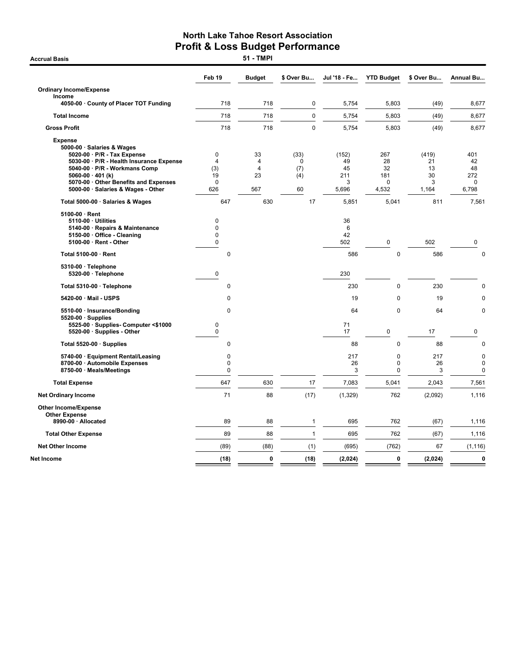**Accrual Basis** 

|                                                                                                         | Feb 19                        | <b>Budget</b>                          | \$ Over Bu             | Jul '18 - Fe    | <b>YTD Budget</b> | \$ Over Bu     | <b>Annual Bu</b>                          |
|---------------------------------------------------------------------------------------------------------|-------------------------------|----------------------------------------|------------------------|-----------------|-------------------|----------------|-------------------------------------------|
| <b>Ordinary Income/Expense</b>                                                                          |                               |                                        |                        |                 |                   |                |                                           |
| Income<br>4050-00 County of Placer TOT Funding                                                          | 718                           | 718                                    | 0                      | 5,754           | 5,803             | (49)           | 8,677                                     |
| <b>Total Income</b>                                                                                     | 718                           | 718                                    | 0                      | 5,754           | 5,803             | (49)           | 8,677                                     |
| <b>Gross Profit</b>                                                                                     | 718                           | 718                                    | $\mathbf 0$            | 5,754           | 5,803             | (49)           | 8,677                                     |
| <b>Expense</b><br>5000-00 · Salaries & Wages<br>5020-00 · P/R - Tax Expense                             | $\mathbf 0$                   | 33                                     | (33)                   | (152)           | 267               | (419)          | 401                                       |
| 5030-00 · P/R - Health Insurance Expense<br>5040-00 · P/R - Workmans Comp<br>5060-00 $\cdot$ 401 (k)    | $\overline{4}$<br>(3)<br>19   | $\overline{4}$<br>$\overline{4}$<br>23 | $\Omega$<br>(7)<br>(4) | 49<br>45<br>211 | 28<br>32<br>181   | 21<br>13<br>30 | 42<br>48<br>272                           |
| 5070-00 Other Benefits and Expenses<br>5000-00 · Salaries & Wages - Other                               | $\Omega$<br>626               | 567                                    | 60                     | 3<br>5,696      | $\Omega$<br>4,532 | 3<br>1,164     | 0<br>6,798                                |
| Total 5000-00 · Salaries & Wages                                                                        | 647                           | 630                                    | 17                     | 5,851           | 5,041             | 811            | 7,561                                     |
| 5100-00 · Rent<br>5110-00 · Utilities<br>5140-00 · Repairs & Maintenance<br>5150-00 · Office - Cleaning | 0<br>$\pmb{0}$<br>$\mathbf 0$ |                                        |                        | 36<br>6<br>42   |                   |                |                                           |
| 5100-00 · Rent - Other                                                                                  | $\mathbf 0$                   |                                        |                        | 502             | 0                 | 502            | 0                                         |
| Total 5100-00 · Rent                                                                                    | $\mathbf 0$                   |                                        |                        | 586             | $\mathbf 0$       | 586            | $\mathbf 0$                               |
| 5310-00 · Telephone<br>5320-00 · Telephone                                                              | $\mathbf 0$                   |                                        |                        | 230             |                   |                |                                           |
| Total 5310-00 · Telephone                                                                               | 0                             |                                        |                        | 230             | $\mathbf 0$       | 230            | 0                                         |
| 5420-00 · Mail - USPS                                                                                   | 0                             |                                        |                        | 19              | 0                 | 19             | 0                                         |
| 5510-00 · Insurance/Bonding<br>$5520-00 \cdot$ Supplies                                                 | $\mathbf 0$                   |                                        |                        | 64              | $\mathbf 0$       | 64             | $\mathbf 0$                               |
| 5525-00 · Supplies- Computer <\$1000<br>5520-00 · Supplies - Other                                      | 0<br>0                        |                                        |                        | 71<br>17        | 0                 | 17             | 0                                         |
| Total 5520-00 · Supplies                                                                                | 0                             |                                        |                        | 88              | $\mathbf 0$       | 88             | $\mathbf 0$                               |
| 5740-00 · Equipment Rental/Leasing<br>8700-00 · Automobile Expenses<br>8750-00 · Meals/Meetings         | 0<br>0<br>0                   |                                        |                        | 217<br>26<br>3  | 0<br>0<br>0       | 217<br>26<br>3 | $\mathbf 0$<br>$\mathbf 0$<br>$\mathbf 0$ |
| <b>Total Expense</b>                                                                                    | 647                           | 630                                    | 17                     | 7,083           | 5,041             | 2,043          | 7,561                                     |
| <b>Net Ordinary Income</b>                                                                              | 71                            | 88                                     | (17)                   | (1, 329)        | 762               | (2,092)        | 1,116                                     |
| Other Income/Expense<br><b>Other Expense</b>                                                            |                               |                                        |                        |                 |                   |                |                                           |
| 8990-00 · Allocated                                                                                     | 89                            | 88                                     | 1                      | 695             | 762               | (67)           | 1,116                                     |
| <b>Total Other Expense</b>                                                                              | 89                            | 88                                     | $\mathbf{1}$           | 695             | 762               | (67)           | 1,116                                     |
| <b>Net Other Income</b>                                                                                 | (89)                          | (88)                                   | (1)                    | (695)           | (762)             | 67             | (1, 116)                                  |
| Net Income                                                                                              | (18)                          | 0                                      | (18)                   | (2,024)         | 0                 | (2,024)        | $\mathbf 0$                               |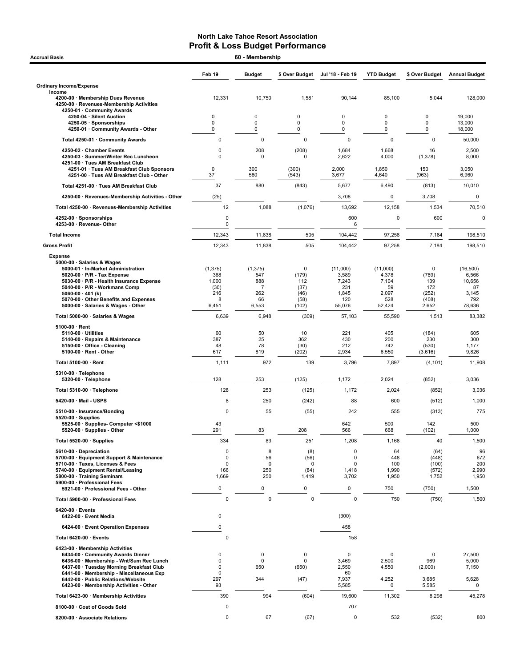| <b>Accrual Basis</b>                                                                                                  | 60 - Membership    |                          |                  |                      |                   |                  |                      |  |
|-----------------------------------------------------------------------------------------------------------------------|--------------------|--------------------------|------------------|----------------------|-------------------|------------------|----------------------|--|
|                                                                                                                       | Feb 19             | <b>Budget</b>            | \$ Over Budget   | Jul '18 - Feb 19     | <b>YTD Budget</b> | \$ Over Budget   | <b>Annual Budget</b> |  |
| <b>Ordinary Income/Expense</b>                                                                                        |                    |                          |                  |                      |                   |                  |                      |  |
| Income<br>4200-00 · Membership Dues Revenue<br>4250-00 · Revenues-Membership Activities<br>4250-01 · Community Awards | 12,331             | 10,750                   | 1,581            | 90,144               | 85,100            | 5,044            | 128,000              |  |
| 4250-04 · Silent Auction                                                                                              | 0                  | 0                        | $\mathbf 0$      | 0                    | 0                 | 0                | 19,000               |  |
| 4250-05 · Sponsorships<br>4250-01 · Community Awards - Other                                                          | $\mathbf 0$<br>0   | $\mathbf 0$<br>$\pmb{0}$ | $\mathbf 0$<br>0 | 0<br>0               | 0<br>0            | 0<br>0           | 13,000<br>18,000     |  |
| Total 4250-01 · Community Awards                                                                                      | 0                  | $\mathbf 0$              | $\mathbf 0$      | $\mathbf 0$          | $\mathbf 0$       | $\mathbf 0$      | 50,000               |  |
| 4250-02 · Chamber Events                                                                                              | 0                  | 208                      | (208)            | 1,684                | 1,668             | 16               | 2,500                |  |
| 4250-03 · Summer/Winter Rec Luncheon<br>4251-00 · Tues AM Breakfast Club                                              | 0                  | $\Omega$                 | $\Omega$         | 2,622                | 4,000             | (1, 378)         | 8,000                |  |
| 4251-01 · Tues AM Breakfast Club Sponsors<br>4251-00 · Tues AM Breakfast Club - Other                                 | $\mathbf 0$<br>37  | 300<br>580               | (300)<br>(543)   | 2,000<br>3,677       | 1,850<br>4,640    | 150<br>(963)     | 3,050<br>6,960       |  |
| Total 4251-00 · Tues AM Breakfast Club                                                                                | 37                 | 880                      | (843)            | 5,677                | 6,490             | (813)            | 10,010               |  |
| 4250-00 · Revenues-Membership Activities - Other                                                                      | (25)               |                          |                  | 3,708                | 0                 | 3,708            | $\mathbf 0$          |  |
| Total 4250-00 · Revenues-Membership Activities                                                                        | 12                 | 1,088                    | (1,076)          | 13,692               | 12,158            | 1,534            | 70,510               |  |
| 4252-00 · Sponsorships                                                                                                | 0                  |                          |                  | 600                  | 0                 | 600              | $\mathbf 0$          |  |
| 4253-00 · Revenue- Other                                                                                              | $\mathbf 0$        |                          |                  | 6                    |                   |                  |                      |  |
| <b>Total Income</b>                                                                                                   | 12,343             | 11,838                   | 505              | 104,442              | 97,258            | 7,184            | 198,510              |  |
| <b>Gross Profit</b>                                                                                                   | 12,343             | 11,838                   | 505              | 104,442              | 97,258            | 7,184            | 198,510              |  |
| <b>Expense</b><br>5000-00 · Salaries & Wages<br>5000-01 · In-Market Administration                                    | (1, 375)           | (1, 375)                 | $\mathbf 0$      | (11,000)             | (11,000)          | 0                | (16, 500)            |  |
| $5020-00 \cdot P/R$ - Tax Expense<br>5030-00 · P/R - Health Insurance Expense                                         | 368<br>1,000       | 547<br>888               | (179)<br>112     | 3,589<br>7,243       | 4,378<br>7,104    | (789)<br>139     | 6,566<br>10,656      |  |
| 5040-00 · P/R - Workmans Comp                                                                                         | (30)               | $\overline{7}$           | (37)             | 231                  | 59                | 172              | 87                   |  |
| 5060-00 $\cdot$ 401 (k)<br>5070-00 · Other Benefits and Expenses                                                      | 216<br>8           | 262<br>66                | (46)<br>(58)     | 1,845<br>120         | 2,097<br>528      | (252)<br>(408)   | 3,145<br>792         |  |
| 5000-00 · Salaries & Wages - Other                                                                                    | 6,451              | 6,553                    | (102)            | 55,076               | 52,424            | 2,652            | 78,636               |  |
| Total 5000-00 · Salaries & Wages                                                                                      | 6,639              | 6,948                    | (309)            | 57,103               | 55,590            | 1,513            | 83,382               |  |
| $5100.00 \cdot$ Rent<br>$5110-00 \cdot$ Utilities                                                                     | 60                 | 50                       | 10               | 221                  | 405               | (184)            | 605                  |  |
| 5140-00 · Repairs & Maintenance                                                                                       | 387                | 25<br>78                 | 362              | 430                  | 200<br>742        | 230              | 300                  |  |
| 5150-00 Office - Cleaning<br>$5100-00 \cdot$ Rent - Other                                                             | 48<br>617          | 819                      | (30)<br>(202)    | 212<br>2,934         | 6,550             | (530)<br>(3,616) | 1,177<br>9,826       |  |
| Total 5100-00 · Rent                                                                                                  | 1,111              | 972                      | 139              | 3,796                | 7,897             | (4, 101)         | 11,908               |  |
| $5310-00 \cdot$ Telephone<br>5320-00 · Telephone                                                                      | 128                | 253                      | (125)            | 1,172                | 2,024             | (852)            | 3,036                |  |
| Total 5310-00 · Telephone                                                                                             | 128                | 253                      | (125)            | 1,172                | 2,024             | (852)            | 3,036                |  |
| 5420-00 · Mail - USPS                                                                                                 | 8                  | 250                      | (242)            | 88                   | 600               | (512)            | 1,000                |  |
| 5510-00 · Insurance/Bonding                                                                                           | 0                  | 55                       | (55)             | 242                  | 555               | (313)            | 775                  |  |
| $5520-00 \cdot$ Supplies<br>5525-00 · Supplies- Computer <\$1000                                                      | 43                 |                          |                  | 642                  | 500               | 142              | 500                  |  |
| 5520-00 · Supplies - Other                                                                                            | 291                | 83                       | 208              | 566                  | 668               | (102)            | 1,000                |  |
| Total 5520-00 · Supplies                                                                                              | 334                | 83                       | 251              | 1,208                | 1,168             | 40               | 1,500                |  |
| 5610-00 · Depreciation<br>5700-00 · Equipment Support & Maintenance                                                   | 0<br>0             | 8<br>56                  | (8)<br>(56)      | $\mathbf 0$<br>0     | 64<br>448         | (64)<br>(448)    | 96<br>672            |  |
| 5710-00 · Taxes, Licenses & Fees<br>5740-00 · Equipment Rental/Leasing                                                | $\mathbf 0$<br>166 | $\mathbf 0$<br>250       | 0<br>(84)        | $\mathbf 0$<br>1,418 | 100<br>1,990      | (100)<br>(572)   | 200<br>2,990         |  |
| 5800-00 · Training Seminars                                                                                           | 1,669              | 250                      | 1,419            | 3,702                | 1,950             | 1,752            | 1,950                |  |
| 5900-00 · Professional Fees<br>5921-00 · Professional Fees - Other                                                    | 0                  | 0                        | 0                | 0                    | 750               | (750)            | 1,500                |  |
| Total 5900-00 · Professional Fees                                                                                     | $\mathbf 0$        | $\pmb{0}$                | $\pmb{0}$        | $\mathbf 0$          | 750               | (750)            | 1,500                |  |
| 6420-00 · Events<br>6422-00 · Event Media                                                                             | 0                  |                          |                  | (300)                |                   |                  |                      |  |
| 6424-00 · Event Operation Expenses                                                                                    | 0                  |                          |                  | 458                  |                   |                  |                      |  |
| Total 6420-00 · Events                                                                                                | 0                  |                          |                  | 158                  |                   |                  |                      |  |
| 6423-00 · Membership Activities                                                                                       |                    |                          |                  |                      |                   |                  |                      |  |
| 6434-00 Community Awards Dinner<br>6436-00 · Membership - Wnt/Sum Rec Lunch                                           | 0<br>0             | $\mathbf 0$<br>0         | 0<br>0           | $\mathbf 0$<br>3,469 | 0<br>2,500        | 0<br>969         | 27,500<br>5,000      |  |
| 6437-00 · Tuesday Morning Breakfast Club<br>6441-00 · Membership - Miscellaneous Exp                                  | 0<br>0             | 650                      | (650)            | 2,550<br>60          | 4,550             | (2,000)          | 7,150                |  |
| 6442-00 · Public Relations/Website                                                                                    | 297                | 344                      | (47)             | 7,937                | 4,252             | 3,685            | 5,628                |  |
| 6423-00 Membership Activities - Other                                                                                 | 93<br>390          | 994                      |                  | 5,585                | 0                 | 5,585            | 0                    |  |
| Total 6423-00 · Membership Activities<br>8100-00 · Cost of Goods Sold                                                 | 0                  |                          | (604)            | 19,600<br>707        | 11,302            | 8,298            | 45,278               |  |
|                                                                                                                       | 0                  | 67                       | (67)             | 0                    | 532               |                  | 800                  |  |
| 8200-00 · Associate Relations                                                                                         |                    |                          |                  |                      |                   | (532)            |                      |  |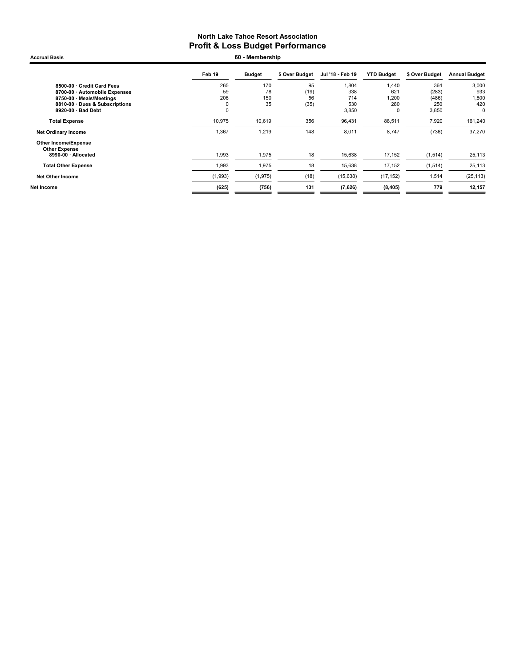Feb 19 Budget \$ Over Budget Jul '18 - Feb 19 YTD Budget \$ Over Budget Annual Budget 8500-00 · Credit Card Fees 265 170 95 1,804 1,440 364 3,000 8700-00 · Automobile Expenses 59 78 (19) 338 621 (283) 933 8750-00 · Meals/Meetings 206 150 56 714 1,200 (486) 1,800 8810-00 · Dues & Subscriptions 0 35 (35) 530 280 250 420 8920-00  $\cdot$  Bad Debt **Total Expense** 10,975 10,619 356 96,431 88,511 7,920 161,240 Net Ordinary Income 2012 1,367 1,219 1,219 1,48 8,011 8,747 (736) 37,270 Other Income/Expense Other Expense<br> 8990-00 · Allocated 1,993 1,975 18 15,638 17,152 (1,514) 25,113 **Total Other Expense** 1,993 1,975 18 15,638 17,152 (1,514) 25,113 Net Other Income (1,993) (1,975) (18) (15,638) (17,152) 1,514 (25,113) Net Income (625) (756) 131 (7,626) (8,405) 779 12,157 Accrual Basis 60 - Membership